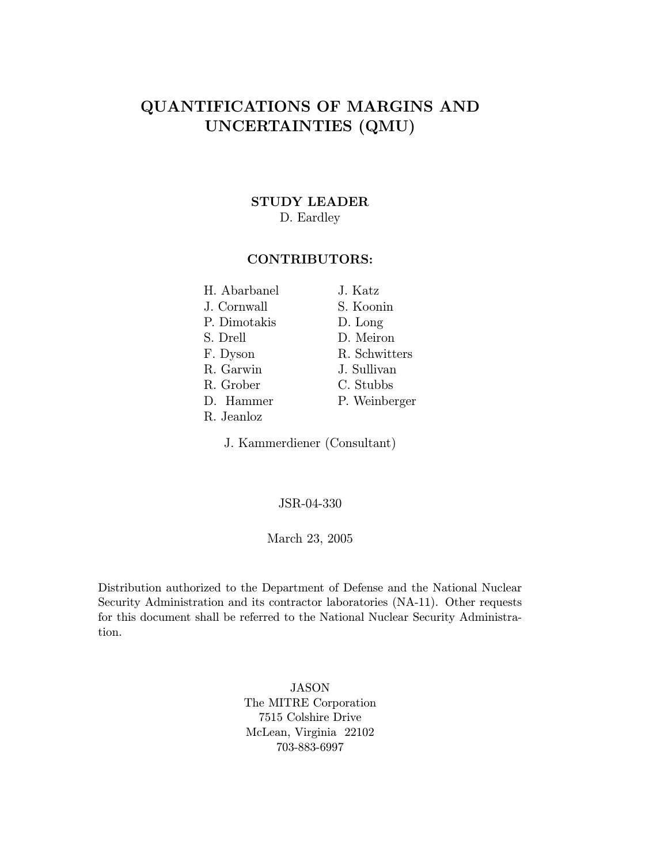# QUANTIFICATIONS OF MARGINS AND UNCERTAINTIES (QMU)

#### STUDY LEADER

### D. Eardley

### CONTRIBUTORS:

| H. Abarbanel | J. Katz       |
|--------------|---------------|
| J. Cornwall  | S. Koonin     |
| P. Dimotakis | D. Long       |
| S. Drell     | D. Meiron     |
| F. Dyson     | R. Schwitters |
| R. Garwin    | J. Sullivan   |
| R. Grober    | C. Stubbs     |
| D. Hammer    | P. Weinberger |
| R. Jeanloz   |               |

J. Kammerdiener (Consultant)

#### JSR-04-330

#### March 23, 2005

Distribution authorized to the Department of Defense and the National Nuclear Security Administration and its contractor laboratories (NA-11). Other requests for this document shall be referred to the National Nuclear Security Administration.

> JASON The MITRE Corporation 7515 Colshire Drive McLean, Virginia 22102 703-883-6997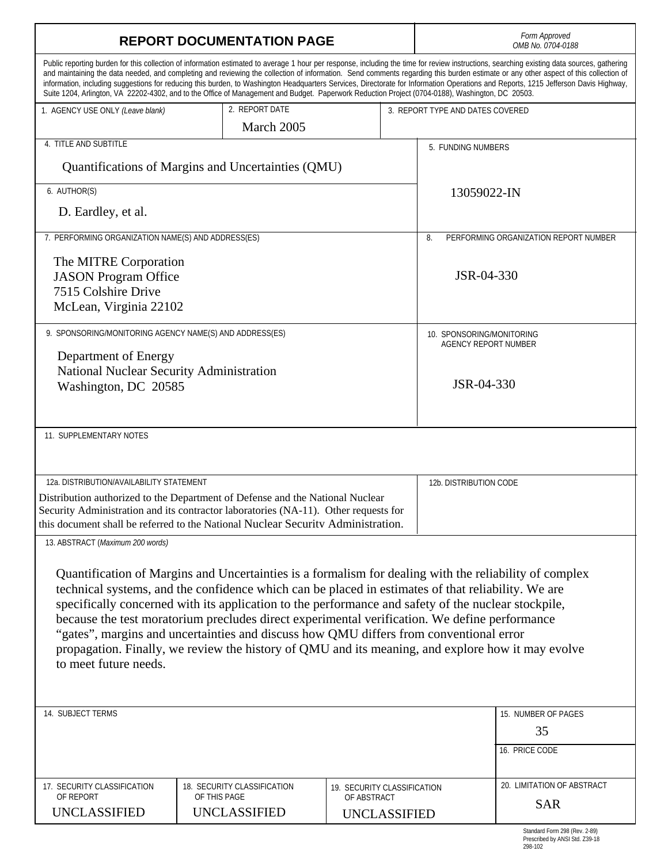| <b>REPORT DOCUMENTATION PAGE</b>                                                                                                                                                                                                                                                                                                                                                                                                                                                                                                                                                                                                             |                                                                                                                                                                                                                                                                                                                                                                                                                                                                                                                                                                                                                                                                                                                               |                                            | Form Approved<br>OMB No. 0704-0188        |                                  |  |
|----------------------------------------------------------------------------------------------------------------------------------------------------------------------------------------------------------------------------------------------------------------------------------------------------------------------------------------------------------------------------------------------------------------------------------------------------------------------------------------------------------------------------------------------------------------------------------------------------------------------------------------------|-------------------------------------------------------------------------------------------------------------------------------------------------------------------------------------------------------------------------------------------------------------------------------------------------------------------------------------------------------------------------------------------------------------------------------------------------------------------------------------------------------------------------------------------------------------------------------------------------------------------------------------------------------------------------------------------------------------------------------|--------------------------------------------|-------------------------------------------|----------------------------------|--|
|                                                                                                                                                                                                                                                                                                                                                                                                                                                                                                                                                                                                                                              | Public reporting burden for this collection of information estimated to average 1 hour per response, including the time for review instructions, searching existing data sources, gathering<br>and maintaining the data needed, and completing and reviewing the collection of information. Send comments regarding this burden estimate or any other aspect of this collection of<br>information, including suggestions for reducing this burden, to Washington Headquarters Services, Directorate for Information Operations and Reports, 1215 Jefferson Davis Highway,<br>Suite 1204, Arlington, VA 22202-4302, and to the Office of Management and Budget. Paperwork Reduction Project (0704-0188), Washington, DC 20503. |                                            |                                           |                                  |  |
| 1. AGENCY USE ONLY (Leave blank)                                                                                                                                                                                                                                                                                                                                                                                                                                                                                                                                                                                                             | 2. REPORT DATE                                                                                                                                                                                                                                                                                                                                                                                                                                                                                                                                                                                                                                                                                                                |                                            |                                           | 3. REPORT TYPE AND DATES COVERED |  |
|                                                                                                                                                                                                                                                                                                                                                                                                                                                                                                                                                                                                                                              | March 2005                                                                                                                                                                                                                                                                                                                                                                                                                                                                                                                                                                                                                                                                                                                    |                                            |                                           |                                  |  |
| 4. TITLE AND SUBTITLE                                                                                                                                                                                                                                                                                                                                                                                                                                                                                                                                                                                                                        |                                                                                                                                                                                                                                                                                                                                                                                                                                                                                                                                                                                                                                                                                                                               |                                            | 5. FUNDING NUMBERS                        |                                  |  |
|                                                                                                                                                                                                                                                                                                                                                                                                                                                                                                                                                                                                                                              | Quantifications of Margins and Uncertainties (QMU)                                                                                                                                                                                                                                                                                                                                                                                                                                                                                                                                                                                                                                                                            |                                            |                                           |                                  |  |
| 6. AUTHOR(S)                                                                                                                                                                                                                                                                                                                                                                                                                                                                                                                                                                                                                                 |                                                                                                                                                                                                                                                                                                                                                                                                                                                                                                                                                                                                                                                                                                                               |                                            | 13059022-IN                               |                                  |  |
| D. Eardley, et al.                                                                                                                                                                                                                                                                                                                                                                                                                                                                                                                                                                                                                           |                                                                                                                                                                                                                                                                                                                                                                                                                                                                                                                                                                                                                                                                                                                               |                                            |                                           |                                  |  |
| 7. PERFORMING ORGANIZATION NAME(S) AND ADDRESS(ES)<br>8.                                                                                                                                                                                                                                                                                                                                                                                                                                                                                                                                                                                     |                                                                                                                                                                                                                                                                                                                                                                                                                                                                                                                                                                                                                                                                                                                               |                                            | PERFORMING ORGANIZATION REPORT NUMBER     |                                  |  |
| The MITRE Corporation<br><b>JASON</b> Program Office<br>7515 Colshire Drive<br>McLean, Virginia 22102                                                                                                                                                                                                                                                                                                                                                                                                                                                                                                                                        |                                                                                                                                                                                                                                                                                                                                                                                                                                                                                                                                                                                                                                                                                                                               |                                            | JSR-04-330                                |                                  |  |
| 9. SPONSORING/MONITORING AGENCY NAME(S) AND ADDRESS(ES)                                                                                                                                                                                                                                                                                                                                                                                                                                                                                                                                                                                      |                                                                                                                                                                                                                                                                                                                                                                                                                                                                                                                                                                                                                                                                                                                               | 10. SPONSORING/MONITORING                  |                                           |                                  |  |
| Department of Energy<br>National Nuclear Security Administration<br>Washington, DC 20585                                                                                                                                                                                                                                                                                                                                                                                                                                                                                                                                                     |                                                                                                                                                                                                                                                                                                                                                                                                                                                                                                                                                                                                                                                                                                                               |                                            | <b>AGENCY REPORT NUMBER</b><br>JSR-04-330 |                                  |  |
| 11. SUPPLEMENTARY NOTES                                                                                                                                                                                                                                                                                                                                                                                                                                                                                                                                                                                                                      |                                                                                                                                                                                                                                                                                                                                                                                                                                                                                                                                                                                                                                                                                                                               |                                            |                                           |                                  |  |
| 12a. DISTRIBUTION/AVAILABILITY STATEMENT                                                                                                                                                                                                                                                                                                                                                                                                                                                                                                                                                                                                     |                                                                                                                                                                                                                                                                                                                                                                                                                                                                                                                                                                                                                                                                                                                               |                                            | 12b. DISTRIBUTION CODE                    |                                  |  |
| Distribution authorized to the Department of Defense and the National Nuclear<br>Security Administration and its contractor laboratories (NA-11). Other requests for<br>this document shall be referred to the National Nuclear Security Administration.                                                                                                                                                                                                                                                                                                                                                                                     |                                                                                                                                                                                                                                                                                                                                                                                                                                                                                                                                                                                                                                                                                                                               |                                            |                                           |                                  |  |
| 13. ABSTRACT (Maximum 200 words)                                                                                                                                                                                                                                                                                                                                                                                                                                                                                                                                                                                                             |                                                                                                                                                                                                                                                                                                                                                                                                                                                                                                                                                                                                                                                                                                                               |                                            |                                           |                                  |  |
| Quantification of Margins and Uncertainties is a formalism for dealing with the reliability of complex<br>technical systems, and the confidence which can be placed in estimates of that reliability. We are<br>specifically concerned with its application to the performance and safety of the nuclear stockpile,<br>because the test moratorium precludes direct experimental verification. We define performance<br>"gates", margins and uncertainties and discuss how QMU differs from conventional error<br>propagation. Finally, we review the history of QMU and its meaning, and explore how it may evolve<br>to meet future needs. |                                                                                                                                                                                                                                                                                                                                                                                                                                                                                                                                                                                                                                                                                                                               |                                            |                                           |                                  |  |
| 14. SUBJECT TERMS                                                                                                                                                                                                                                                                                                                                                                                                                                                                                                                                                                                                                            |                                                                                                                                                                                                                                                                                                                                                                                                                                                                                                                                                                                                                                                                                                                               |                                            |                                           | 15. NUMBER OF PAGES              |  |
|                                                                                                                                                                                                                                                                                                                                                                                                                                                                                                                                                                                                                                              |                                                                                                                                                                                                                                                                                                                                                                                                                                                                                                                                                                                                                                                                                                                               |                                            |                                           | 35                               |  |
|                                                                                                                                                                                                                                                                                                                                                                                                                                                                                                                                                                                                                                              |                                                                                                                                                                                                                                                                                                                                                                                                                                                                                                                                                                                                                                                                                                                               |                                            |                                           | 16. PRICE CODE                   |  |
|                                                                                                                                                                                                                                                                                                                                                                                                                                                                                                                                                                                                                                              |                                                                                                                                                                                                                                                                                                                                                                                                                                                                                                                                                                                                                                                                                                                               |                                            |                                           |                                  |  |
| 17. SECURITY CLASSIFICATION<br>OF REPORT                                                                                                                                                                                                                                                                                                                                                                                                                                                                                                                                                                                                     | 18. SECURITY CLASSIFICATION<br>OF THIS PAGE                                                                                                                                                                                                                                                                                                                                                                                                                                                                                                                                                                                                                                                                                   | 19. SECURITY CLASSIFICATION<br>OF ABSTRACT |                                           | 20. LIMITATION OF ABSTRACT       |  |
| UNCLASSIFIED                                                                                                                                                                                                                                                                                                                                                                                                                                                                                                                                                                                                                                 | <b>UNCLASSIFIED</b>                                                                                                                                                                                                                                                                                                                                                                                                                                                                                                                                                                                                                                                                                                           | <b>UNCLASSIFIED</b>                        |                                           | <b>SAR</b>                       |  |
|                                                                                                                                                                                                                                                                                                                                                                                                                                                                                                                                                                                                                                              |                                                                                                                                                                                                                                                                                                                                                                                                                                                                                                                                                                                                                                                                                                                               |                                            |                                           | Standard Form 298 (Rev. 2-89)    |  |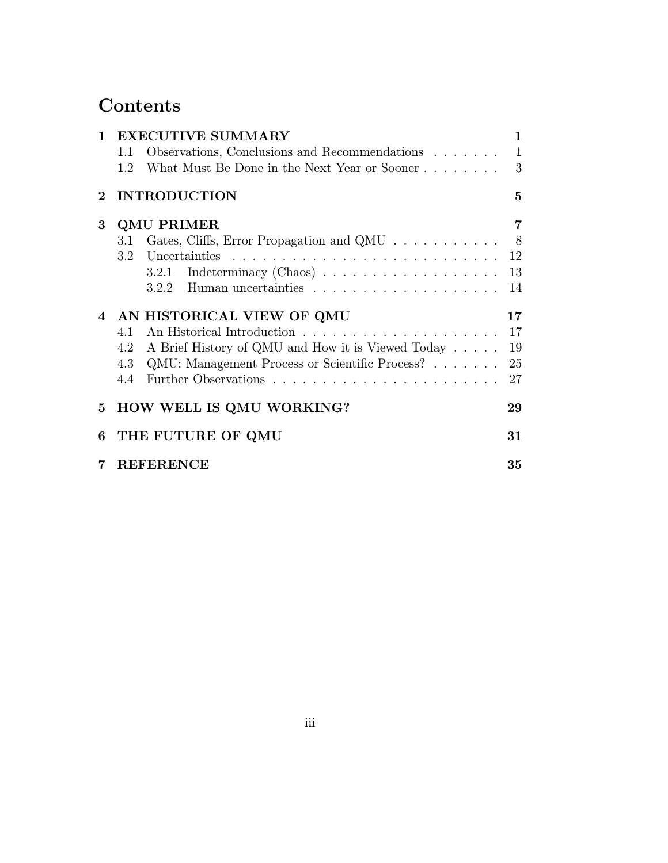# Contents

| $\mathbf{1}$   | <b>EXECUTIVE SUMMARY</b>                                                      | $\mathbf{1}$   |
|----------------|-------------------------------------------------------------------------------|----------------|
|                | Observations, Conclusions and Recommendations<br>1.1                          | $\overline{1}$ |
|                | What Must Be Done in the Next Year or Sooner 3<br>1.2                         |                |
| $2^{\circ}$    | <b>INTRODUCTION</b>                                                           | $\overline{5}$ |
| 3              | <b>QMU PRIMER</b>                                                             | $\overline{7}$ |
|                | Gates, Cliffs, Error Propagation and QMU 8<br>3.1                             |                |
|                |                                                                               |                |
|                | Indeterminacy (Chaos) $\ldots \ldots \ldots \ldots \ldots \ldots 13$<br>3.2.1 |                |
|                |                                                                               |                |
|                | 4 AN HISTORICAL VIEW OF QMU                                                   | 17             |
|                | 4.1                                                                           | 17             |
|                | 4.2 A Brief History of QMU and How it is Viewed Today                         | 19             |
|                | QMU: Management Process or Scientific Process?<br>4.3                         | 25             |
|                | 4.4                                                                           | 27             |
|                | 5 HOW WELL IS QMU WORKING?                                                    | 29             |
| 6              | THE FUTURE OF QMU                                                             | 31             |
| $7\phantom{.}$ | <b>REFERENCE</b>                                                              | 35             |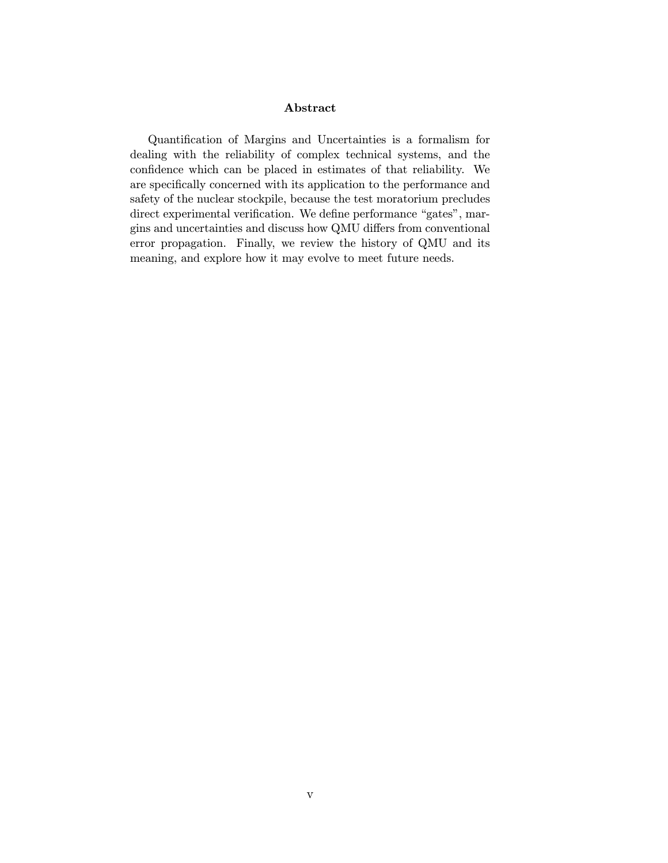#### Abstract

Quantification of Margins and Uncertainties is a formalism for dealing with the reliability of complex technical systems, and the confidence which can be placed in estimates of that reliability. We are specifically concerned with its application to the performance and safety of the nuclear stockpile, because the test moratorium precludes direct experimental verification. We define performance "gates", margins and uncertainties and discuss how QMU differs from conventional error propagation. Finally, we review the history of QMU and its meaning, and explore how it may evolve to meet future needs.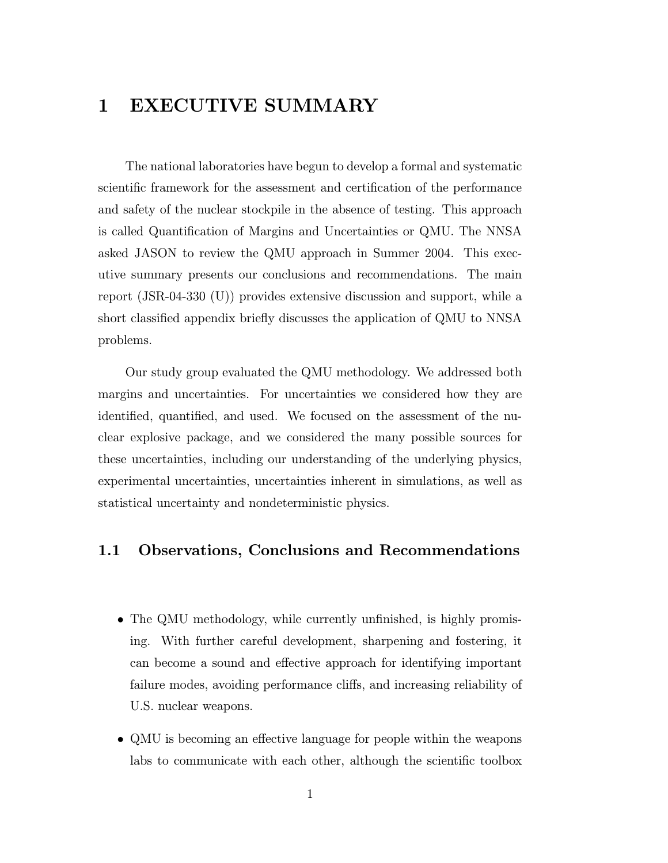# 1 EXECUTIVE SUMMARY

The national laboratories have begun to develop a formal and systematic scientific framework for the assessment and certification of the performance and safety of the nuclear stockpile in the absence of testing. This approach is called Quantification of Margins and Uncertainties or QMU. The NNSA asked JASON to review the QMU approach in Summer 2004. This executive summary presents our conclusions and recommendations. The main report (JSR-04-330 (U)) provides extensive discussion and support, while a short classified appendix briefly discusses the application of QMU to NNSA problems.

Our study group evaluated the QMU methodology. We addressed both margins and uncertainties. For uncertainties we considered how they are identified, quantified, and used. We focused on the assessment of the nuclear explosive package, and we considered the many possible sources for these uncertainties, including our understanding of the underlying physics, experimental uncertainties, uncertainties inherent in simulations, as well as statistical uncertainty and nondeterministic physics.

## 1.1 Observations, Conclusions and Recommendations

- The QMU methodology, while currently unfinished, is highly promising. With further careful development, sharpening and fostering, it can become a sound and effective approach for identifying important failure modes, avoiding performance cliffs, and increasing reliability of U.S. nuclear weapons.
- QMU is becoming an effective language for people within the weapons labs to communicate with each other, although the scientific toolbox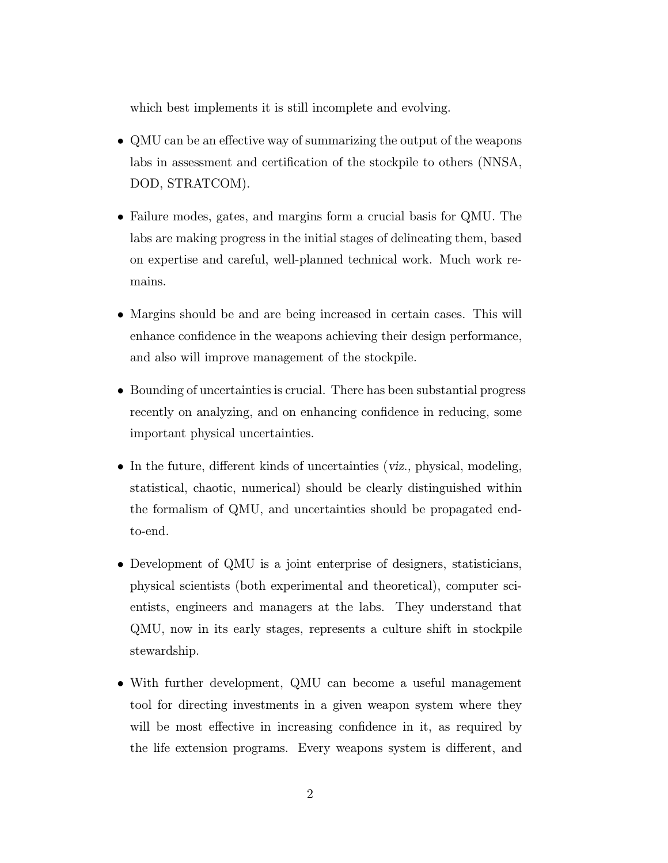which best implements it is still incomplete and evolving.

- QMU can be an effective way of summarizing the output of the weapons labs in assessment and certification of the stockpile to others (NNSA, DOD, STRATCOM).
- Failure modes, gates, and margins form a crucial basis for QMU. The labs are making progress in the initial stages of delineating them, based on expertise and careful, well-planned technical work. Much work remains.
- Margins should be and are being increased in certain cases. This will enhance confidence in the weapons achieving their design performance, and also will improve management of the stockpile.
- Bounding of uncertainties is crucial. There has been substantial progress recently on analyzing, and on enhancing confidence in reducing, some important physical uncertainties.
- In the future, different kinds of uncertainties (viz., physical, modeling, statistical, chaotic, numerical) should be clearly distinguished within the formalism of QMU, and uncertainties should be propagated endto-end.
- Development of QMU is a joint enterprise of designers, statisticians, physical scientists (both experimental and theoretical), computer scientists, engineers and managers at the labs. They understand that QMU, now in its early stages, represents a culture shift in stockpile stewardship.
- With further development, QMU can become a useful management tool for directing investments in a given weapon system where they will be most effective in increasing confidence in it, as required by the life extension programs. Every weapons system is different, and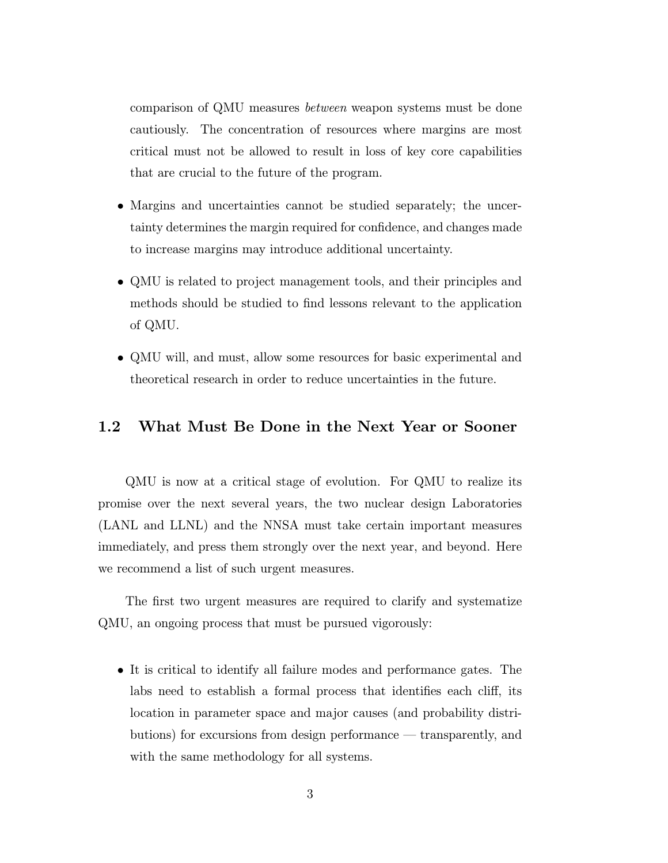comparison of QMU measures between weapon systems must be done cautiously. The concentration of resources where margins are most critical must not be allowed to result in loss of key core capabilities that are crucial to the future of the program.

- Margins and uncertainties cannot be studied separately; the uncertainty determines the margin required for confidence, and changes made to increase margins may introduce additional uncertainty.
- QMU is related to project management tools, and their principles and methods should be studied to find lessons relevant to the application of QMU.
- QMU will, and must, allow some resources for basic experimental and theoretical research in order to reduce uncertainties in the future.

### 1.2 What Must Be Done in the Next Year or Sooner

QMU is now at a critical stage of evolution. For QMU to realize its promise over the next several years, the two nuclear design Laboratories (LANL and LLNL) and the NNSA must take certain important measures immediately, and press them strongly over the next year, and beyond. Here we recommend a list of such urgent measures.

The first two urgent measures are required to clarify and systematize QMU, an ongoing process that must be pursued vigorously:

• It is critical to identify all failure modes and performance gates. The labs need to establish a formal process that identifies each cliff, its location in parameter space and major causes (and probability distributions) for excursions from design performance – transparently, and with the same methodology for all systems.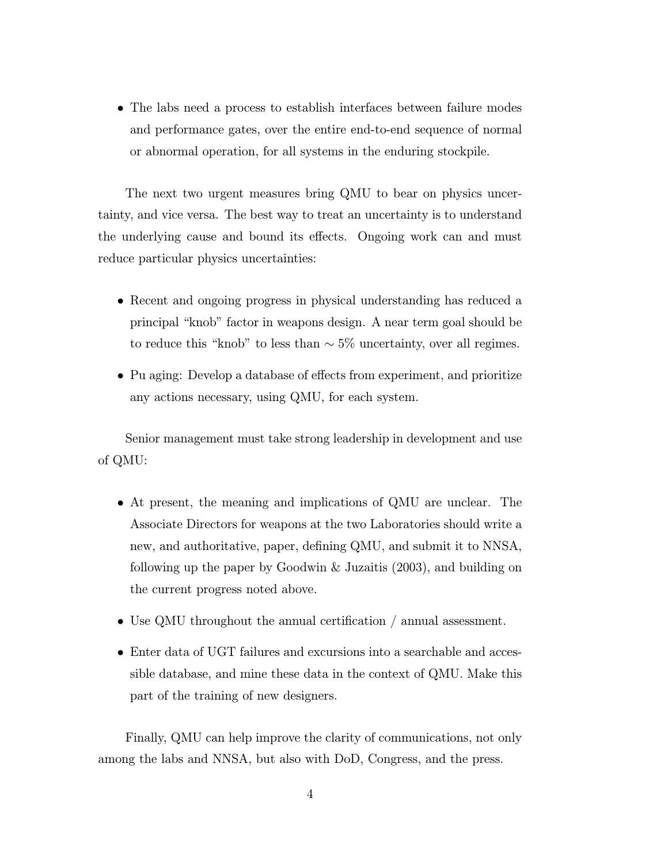• The labs need a process to establish interfaces between failure modes and performance gates, over the entire end-to-end sequence of normal or abnormal operation, for all systems in the enduring stockpile.

The next two urgent measures bring QMU to bear on physics uncertainty, and vice versa. The best way to treat an uncertainty is to understand the underlying cause and bound its effects. Ongoing work can and must reduce particular physics uncertainties:

- Recent and ongoing progress in physical understanding has reduced a principal "knob" factor in weapons design. A near term goal should be to reduce this "knob" to less than  $\sim 5\%$  uncertainty, over all regimes.
- Pu aging: Develop a database of effects from experiment, and prioritize any actions necessary, using QMU, for each system.

Senior management must take strong leadership in development and use of QMU:

- At present, the meaning and implications of QMU are unclear. The Associate Directors for weapons at the two Laboratories should write a new, and authoritative, paper, defining QMU, and submit it to NNSA, following up the paper by Goodwin & Juzaitis (2003), and building on the current progress noted above.
- Use QMU throughout the annual certification / annual assessment.
- Enter data of UGT failures and excursions into a searchable and accessible database, and mine these data in the context of QMU. Make this part of the training of new designers.

Finally, QMU can help improve the clarity of communications, not only among the labs and NNSA, but also with DoD, Congress, and the press.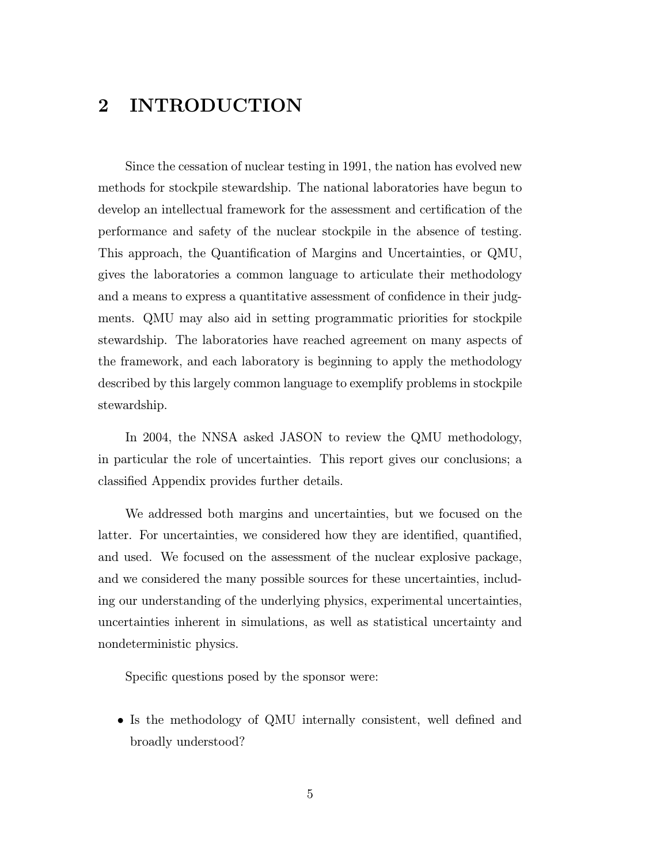# 2 INTRODUCTION

Since the cessation of nuclear testing in 1991, the nation has evolved new methods for stockpile stewardship. The national laboratories have begun to develop an intellectual framework for the assessment and certification of the performance and safety of the nuclear stockpile in the absence of testing. This approach, the Quantification of Margins and Uncertainties, or QMU, gives the laboratories a common language to articulate their methodology and a means to express a quantitative assessment of confidence in their judgments. QMU may also aid in setting programmatic priorities for stockpile stewardship. The laboratories have reached agreement on many aspects of the framework, and each laboratory is beginning to apply the methodology described by this largely common language to exemplify problems in stockpile stewardship.

In 2004, the NNSA asked JASON to review the QMU methodology, in particular the role of uncertainties. This report gives our conclusions; a classified Appendix provides further details.

We addressed both margins and uncertainties, but we focused on the latter. For uncertainties, we considered how they are identified, quantified, and used. We focused on the assessment of the nuclear explosive package, and we considered the many possible sources for these uncertainties, including our understanding of the underlying physics, experimental uncertainties, uncertainties inherent in simulations, as well as statistical uncertainty and nondeterministic physics.

Specific questions posed by the sponsor were:

• Is the methodology of QMU internally consistent, well defined and broadly understood?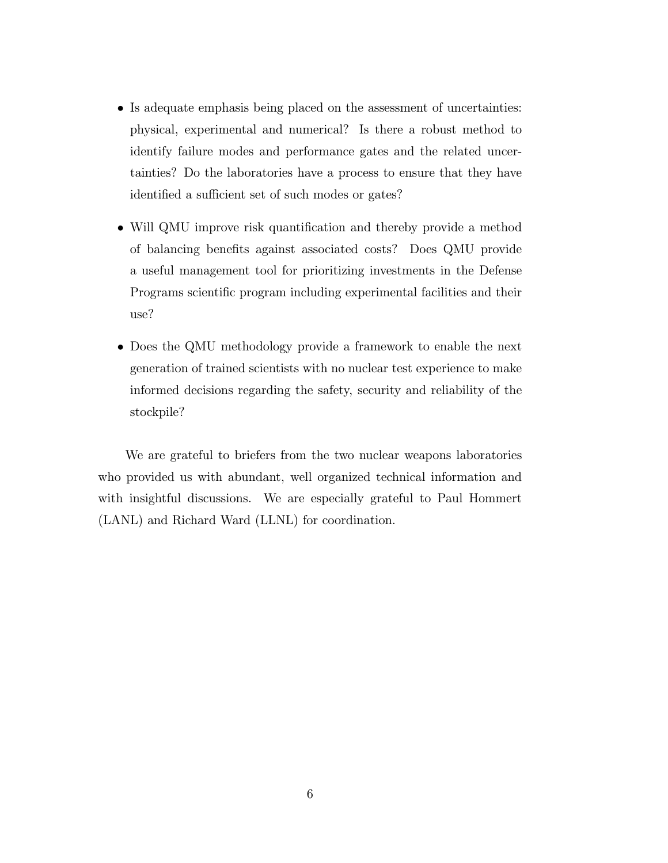- Is adequate emphasis being placed on the assessment of uncertainties: physical, experimental and numerical? Is there a robust method to identify failure modes and performance gates and the related uncertainties? Do the laboratories have a process to ensure that they have identified a sufficient set of such modes or gates?
- Will QMU improve risk quantification and thereby provide a method of balancing benefits against associated costs? Does QMU provide a useful management tool for prioritizing investments in the Defense Programs scientific program including experimental facilities and their  $use?$
- Does the QMU methodology provide a framework to enable the next generation of trained scientists with no nuclear test experience to make informed decisions regarding the safety, security and reliability of the stockpile?

We are grateful to briefers from the two nuclear weapons laboratories who provided us with abundant, well organized technical information and with insightful discussions. We are especially grateful to Paul Hommert (LANL) and Richard Ward (LLNL) for coordination.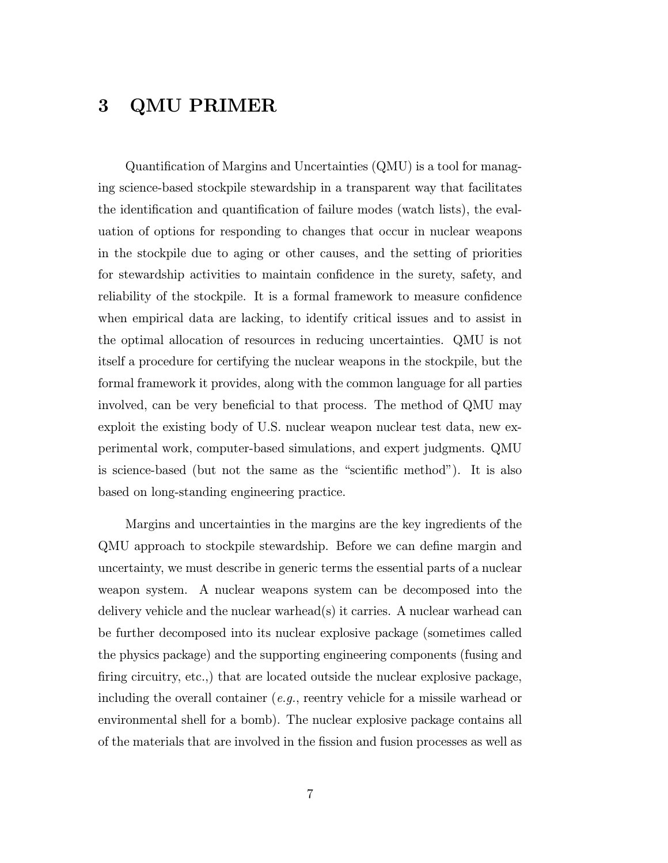# 3 QMU PRIMER

Quantification of Margins and Uncertainties (QMU) is a tool for managing science-based stockpile stewardship in a transparent way that facilitates the identification and quantification of failure modes (watch lists), the evaluation of options for responding to changes that occur in nuclear weapons in the stockpile due to aging or other causes, and the setting of priorities for stewardship activities to maintain confidence in the surety, safety, and reliability of the stockpile. It is a formal framework to measure confidence when empirical data are lacking, to identify critical issues and to assist in the optimal allocation of resources in reducing uncertainties. QMU is not itself a procedure for certifying the nuclear weapons in the stockpile, but the formal framework it provides, along with the common language for all parties involved, can be very beneficial to that process. The method of QMU may exploit the existing body of U.S. nuclear weapon nuclear test data, new experimental work, computer-based simulations, and expert judgments. QMU is science-based (but not the same as the "scientific method"). It is also based on long-standing engineering practice.

Margins and uncertainties in the margins are the key ingredients of the QMU approach to stockpile stewardship. Before we can define margin and uncertainty, we must describe in generic terms the essential parts of a nuclear weapon system. A nuclear weapons system can be decomposed into the delivery vehicle and the nuclear warhead(s) it carries. A nuclear warhead can be further decomposed into its nuclear explosive package (sometimes called the physics package) and the supporting engineering components (fusing and firing circuitry, etc.,) that are located outside the nuclear explosive package, including the overall container  $(e.g.,$  reentry vehicle for a missile warhead or environmental shell for a bomb). The nuclear explosive package contains all of the materials that are involved in the fission and fusion processes as well as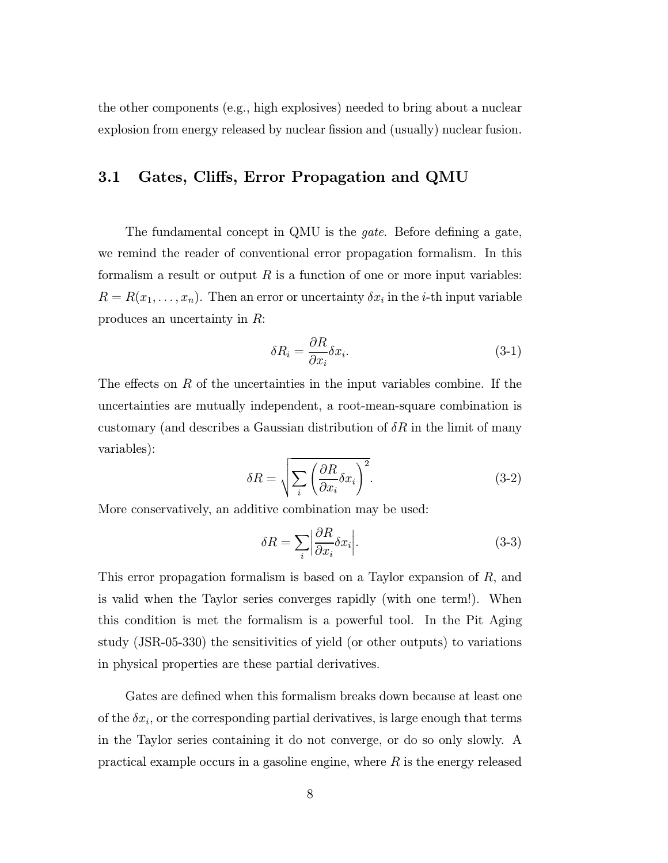the other components (e.g., high explosives) needed to bring about a nuclear explosion from energy released by nuclear fission and (usually) nuclear fusion.

### 3.1 Gates, Cliffs, Error Propagation and QMU

The fundamental concept in QMU is the *gate*. Before defining a gate, we remind the reader of conventional error propagation formalism. In this formalism a result or output  $R$  is a function of one or more input variables:  $R = R(x_1, \ldots, x_n)$ . Then an error or uncertainty  $\delta x_i$  in the *i*-th input variable produces an uncertainty in R:

$$
\delta R_i = \frac{\partial R}{\partial x_i} \delta x_i.
$$
\n(3-1)

The effects on R of the uncertainties in the input variables combine. If the uncertainties are mutually independent, a root-mean-square combination is customary (and describes a Gaussian distribution of  $\delta R$  in the limit of many variables):

$$
\delta R = \sqrt{\sum_{i} \left(\frac{\partial R}{\partial x_i} \delta x_i\right)^2}.
$$
\n(3-2)

More conservatively, an additive combination may be used:

$$
\delta R = \sum_{i} \left| \frac{\partial R}{\partial x_i} \delta x_i \right|.
$$
\n(3-3)

This error propagation formalism is based on a Taylor expansion of R, and is valid when the Taylor series converges rapidly (with one term!). When this condition is met the formalism is a powerful tool. In the Pit Aging study (JSR-05-330) the sensitivities of yield (or other outputs) to variations in physical properties are these partial derivatives.

Gates are defined when this formalism breaks down because at least one of the  $\delta x_i$ , or the corresponding partial derivatives, is large enough that terms in the Taylor series containing it do not converge, or do so only slowly. A practical example occurs in a gasoline engine, where  $R$  is the energy released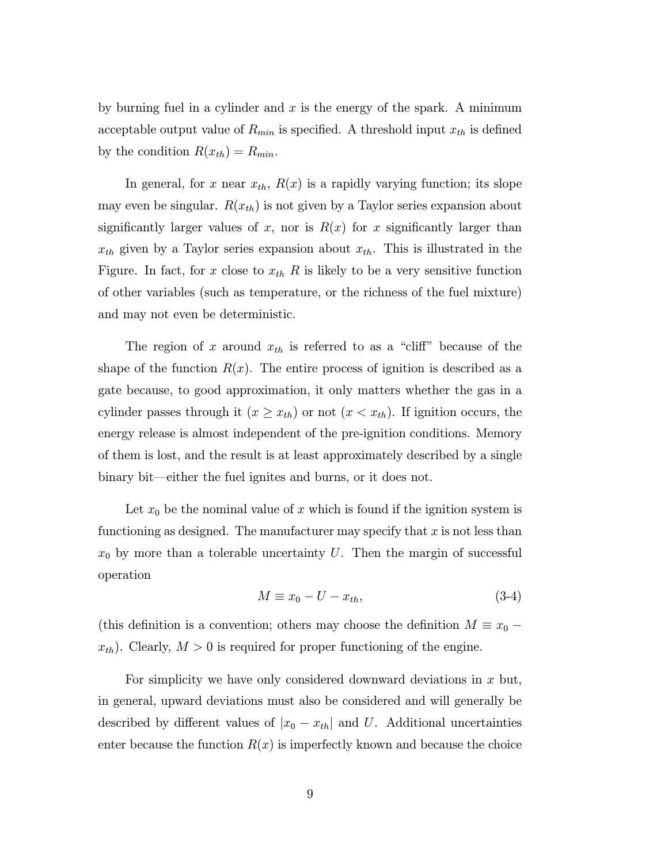by burning fuel in a cylinder and  $x$  is the energy of the spark. A minimum acceptable output value of  $R_{min}$  is specified. A threshold input  $x_{th}$  is defined by the condition  $R(x_{th}) = R_{min}$ .

In general, for x near  $x_{th}$ ,  $R(x)$  is a rapidly varying function; its slope may even be singular.  $R(x_{th})$  is not given by a Taylor series expansion about significantly larger values of x, nor is  $R(x)$  for x significantly larger than  $x_{th}$  given by a Taylor series expansion about  $x_{th}$ . This is illustrated in the Figure. In fact, for x close to  $x_{th}$  R is likely to be a very sensitive function of other variables (such as temperature, or the richness of the fuel mixture) and may not even be deterministic.

The region of x around  $x_{th}$  is referred to as a "cliff" because of the shape of the function  $R(x)$ . The entire process of ignition is described as a gate because, to good approximation, it only matters whether the gas in a cylinder passes through it  $(x \geq x_{th})$  or not  $(x < x_{th})$ . If ignition occurs, the energy release is almost independent of the pre-ignition conditions. Memory of them is lost, and the result is at least approximately described by a single binary bit–either the fuel ignites and burns, or it does not.

Let  $x_0$  be the nominal value of x which is found if the ignition system is functioning as designed. The manufacturer may specify that x is not less than  $x_0$  by more than a tolerable uncertainty U. Then the margin of successful operation

$$
M \equiv x_0 - U - x_{th},\tag{3-4}
$$

(this definition is a convention; others may choose the definition  $M \equiv x_0$  –  $x_{th}$ ). Clearly,  $M > 0$  is required for proper functioning of the engine.

For simplicity we have only considered downward deviations in  $x$  but, in general, upward deviations must also be considered and will generally be described by different values of  $|x_0 - x_{th}|$  and U. Additional uncertainties enter because the function  $R(x)$  is imperfectly known and because the choice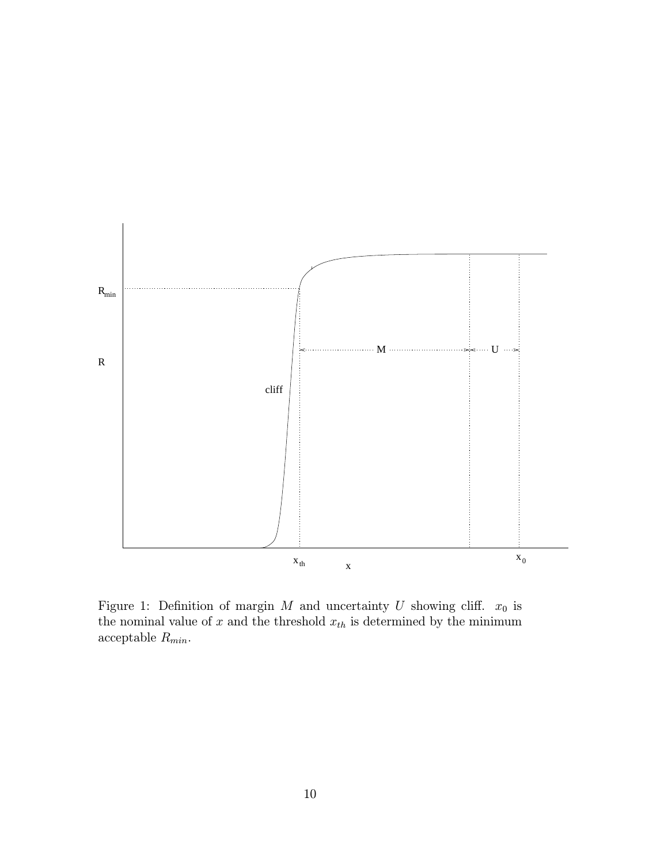

Figure 1: Definition of margin  $M$  and uncertainty  $U$  showing cliff.  $x_0$  is the nominal value of  $x$  and the threshold  $x_{th}$  is determined by the minimum acceptable  $R_{\min}.$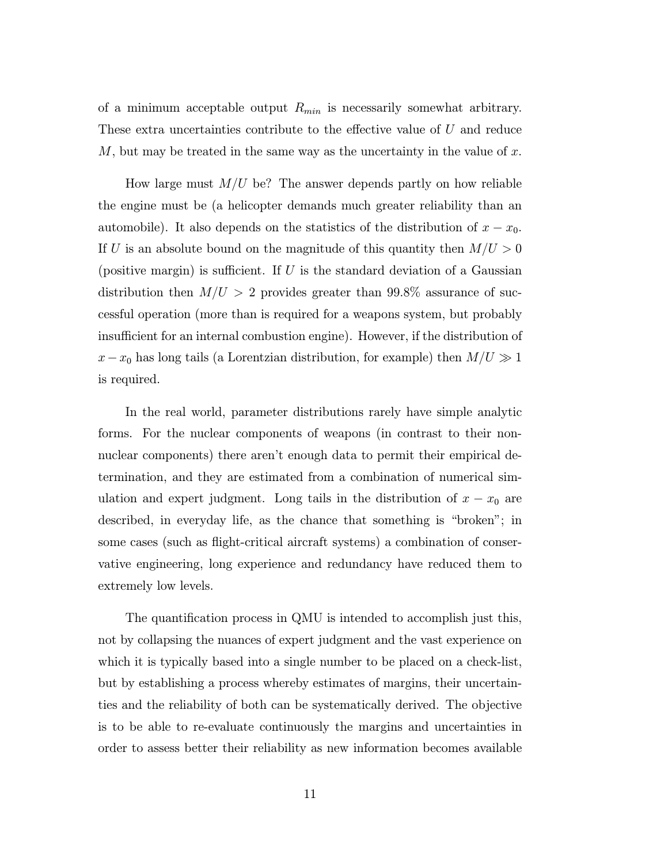of a minimum acceptable output  $R_{min}$  is necessarily somewhat arbitrary. These extra uncertainties contribute to the effective value of U and reduce M, but may be treated in the same way as the uncertainty in the value of x.

How large must  $M/U$  be? The answer depends partly on how reliable the engine must be (a helicopter demands much greater reliability than an automobile). It also depends on the statistics of the distribution of  $x - x_0$ . If U is an absolute bound on the magnitude of this quantity then  $M/U > 0$ (positive margin) is sufficient. If U is the standard deviation of a Gaussian distribution then  $M/U > 2$  provides greater than 99.8% assurance of successful operation (more than is required for a weapons system, but probably insufficient for an internal combustion engine). However, if the distribution of  $x-x_0$  has long tails (a Lorentzian distribution, for example) then  $M/U \gg 1$ is required.

In the real world, parameter distributions rarely have simple analytic forms. For the nuclear components of weapons (in contrast to their nonnuclear components) there aren't enough data to permit their empirical determination, and they are estimated from a combination of numerical simulation and expert judgment. Long tails in the distribution of  $x - x_0$  are described, in everyday life, as the chance that something is "broken"; in some cases (such as flight-critical aircraft systems) a combination of conservative engineering, long experience and redundancy have reduced them to extremely low levels.

The quantification process in QMU is intended to accomplish just this, not by collapsing the nuances of expert judgment and the vast experience on which it is typically based into a single number to be placed on a check-list, but by establishing a process whereby estimates of margins, their uncertainties and the reliability of both can be systematically derived. The objective is to be able to re-evaluate continuously the margins and uncertainties in order to assess better their reliability as new information becomes available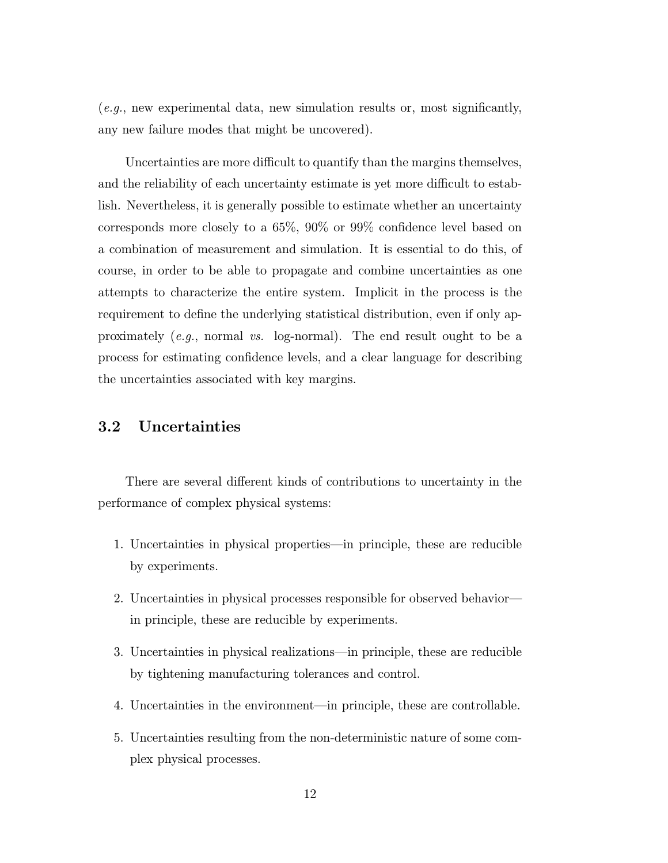$(e.g., new experimental data, new simulation results or, most significantly,$ any new failure modes that might be uncovered).

Uncertainties are more difficult to quantify than the margins themselves, and the reliability of each uncertainty estimate is yet more difficult to establish. Nevertheless, it is generally possible to estimate whether an uncertainty corresponds more closely to a 65%, 90% or 99% confidence level based on a combination of measurement and simulation. It is essential to do this, of course, in order to be able to propagate and combine uncertainties as one attempts to characterize the entire system. Implicit in the process is the requirement to define the underlying statistical distribution, even if only approximately  $(e.g.,$  normal vs. log-normal). The end result ought to be a process for estimating confidence levels, and a clear language for describing the uncertainties associated with key margins.

## 3.2 Uncertainties

There are several different kinds of contributions to uncertainty in the performance of complex physical systems:

- 1. Uncertainties in physical properties–in principle, these are reducible by experiments.
- 2. Uncertainties in physical processes responsible for observed behavior– in principle, these are reducible by experiments.
- 3. Uncertainties in physical realizations–in principle, these are reducible by tightening manufacturing tolerances and control.
- 4. Uncertainties in the environment–in principle, these are controllable.
- 5. Uncertainties resulting from the non-deterministic nature of some complex physical processes.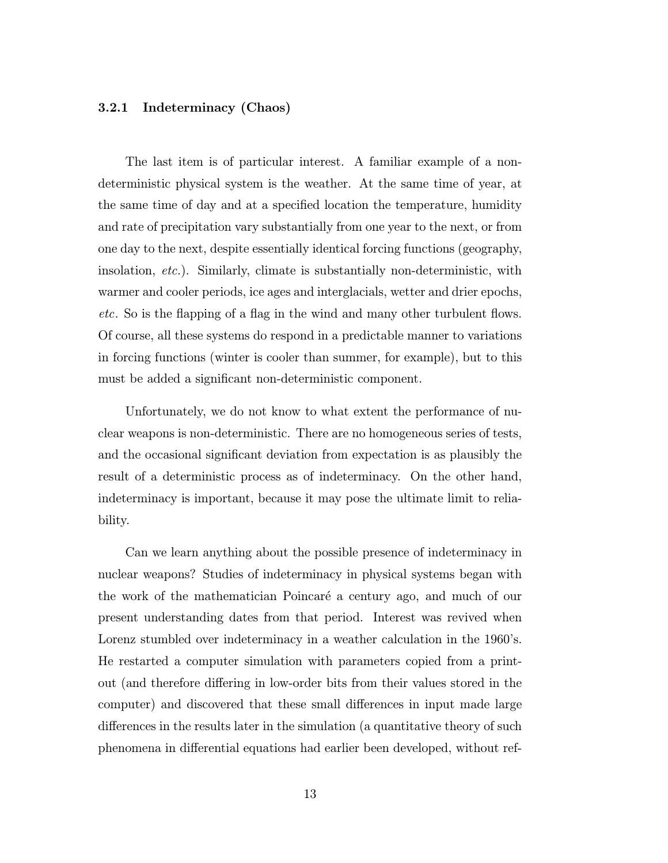#### 3.2.1 Indeterminacy (Chaos)

The last item is of particular interest. A familiar example of a nondeterministic physical system is the weather. At the same time of year, at the same time of day and at a specified location the temperature, humidity and rate of precipitation vary substantially from one year to the next, or from one day to the next, despite essentially identical forcing functions (geography, insolation, etc.). Similarly, climate is substantially non-deterministic, with warmer and cooler periods, ice ages and interglacials, wetter and drier epochs, etc. So is the flapping of a flag in the wind and many other turbulent flows. Of course, all these systems do respond in a predictable manner to variations in forcing functions (winter is cooler than summer, for example), but to this must be added a significant non-deterministic component.

Unfortunately, we do not know to what extent the performance of nuclear weapons is non-deterministic. There are no homogeneous series of tests, and the occasional significant deviation from expectation is as plausibly the result of a deterministic process as of indeterminacy. On the other hand, indeterminacy is important, because it may pose the ultimate limit to reliability.

Can we learn anything about the possible presence of indeterminacy in nuclear weapons? Studies of indeterminacy in physical systems began with the work of the mathematician Poincaré a century ago, and much of our present understanding dates from that period. Interest was revived when Lorenz stumbled over indeterminacy in a weather calculation in the 1960's. He restarted a computer simulation with parameters copied from a printout (and therefore differing in low-order bits from their values stored in the computer) and discovered that these small differences in input made large differences in the results later in the simulation (a quantitative theory of such phenomena in differential equations had earlier been developed, without ref-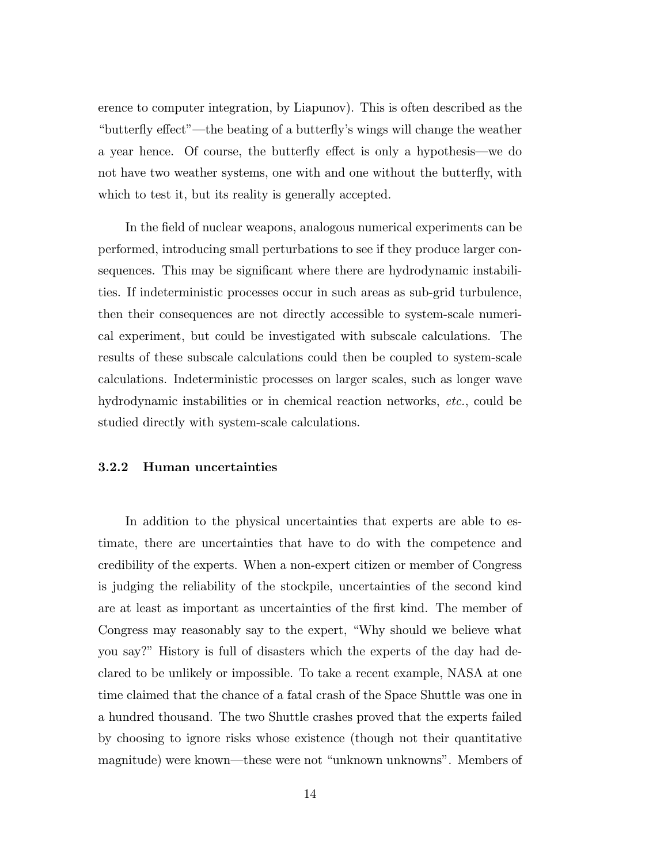erence to computer integration, by Liapunov). This is often described as the "butterfly effect"–the beating of a butterfly's wings will change the weather a year hence. Of course, the butterfly effect is only a hypothesis–we do not have two weather systems, one with and one without the butterfly, with which to test it, but its reality is generally accepted.

In the field of nuclear weapons, analogous numerical experiments can be performed, introducing small perturbations to see if they produce larger consequences. This may be significant where there are hydrodynamic instabilities. If indeterministic processes occur in such areas as sub-grid turbulence, then their consequences are not directly accessible to system-scale numerical experiment, but could be investigated with subscale calculations. The results of these subscale calculations could then be coupled to system-scale calculations. Indeterministic processes on larger scales, such as longer wave hydrodynamic instabilities or in chemical reaction networks, etc., could be studied directly with system-scale calculations.

#### 3.2.2 Human uncertainties

In addition to the physical uncertainties that experts are able to estimate, there are uncertainties that have to do with the competence and credibility of the experts. When a non-expert citizen or member of Congress is judging the reliability of the stockpile, uncertainties of the second kind are at least as important as uncertainties of the first kind. The member of Congress may reasonably say to the expert, "Why should we believe what you say?" History is full of disasters which the experts of the day had declared to be unlikely or impossible. To take a recent example, NASA at one time claimed that the chance of a fatal crash of the Space Shuttle was one in a hundred thousand. The two Shuttle crashes proved that the experts failed by choosing to ignore risks whose existence (though not their quantitative magnitude) were known–these were not "unknown unknowns". Members of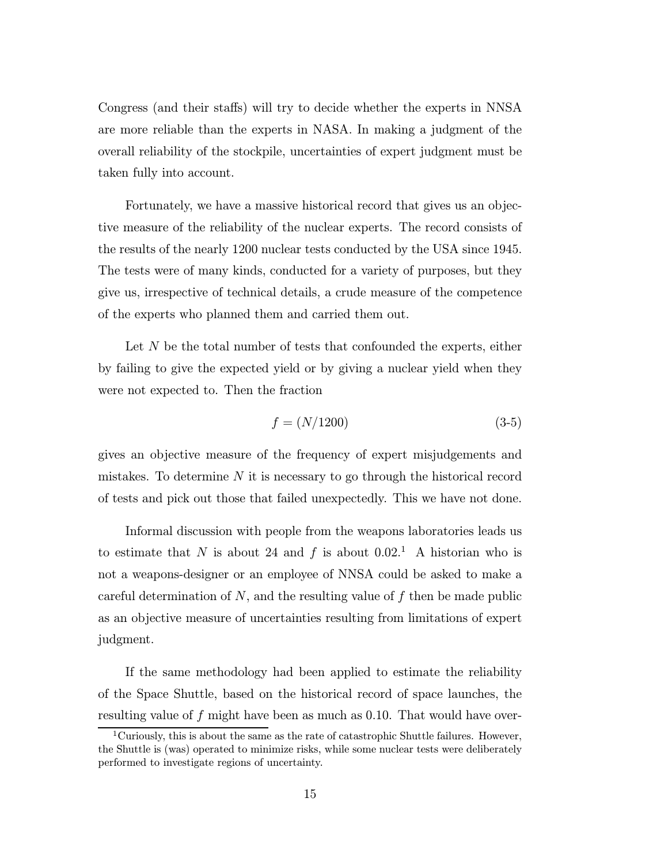Congress (and their staffs) will try to decide whether the experts in NNSA are more reliable than the experts in NASA. In making a judgment of the overall reliability of the stockpile, uncertainties of expert judgment must be taken fully into account.

Fortunately, we have a massive historical record that gives us an objective measure of the reliability of the nuclear experts. The record consists of the results of the nearly 1200 nuclear tests conducted by the USA since 1945. The tests were of many kinds, conducted for a variety of purposes, but they give us, irrespective of technical details, a crude measure of the competence of the experts who planned them and carried them out.

Let  $N$  be the total number of tests that confounded the experts, either by failing to give the expected yield or by giving a nuclear yield when they were not expected to. Then the fraction

$$
f = (N/1200) \tag{3-5}
$$

gives an objective measure of the frequency of expert misjudgements and mistakes. To determine  $N$  it is necessary to go through the historical record of tests and pick out those that failed unexpectedly. This we have not done.

Informal discussion with people from the weapons laboratories leads us to estimate that N is about 24 and f is about  $0.02<sup>1</sup>$  A historian who is not a weapons-designer or an employee of NNSA could be asked to make a careful determination of  $N$ , and the resulting value of  $f$  then be made public as an objective measure of uncertainties resulting from limitations of expert judgment.

If the same methodology had been applied to estimate the reliability of the Space Shuttle, based on the historical record of space launches, the resulting value of f might have been as much as  $0.10$ . That would have over-

<sup>&</sup>lt;sup>1</sup>Curiously, this is about the same as the rate of catastrophic Shuttle failures. However, the Shuttle is (was) operated to minimize risks, while some nuclear tests were deliberately performed to investigate regions of uncertainty.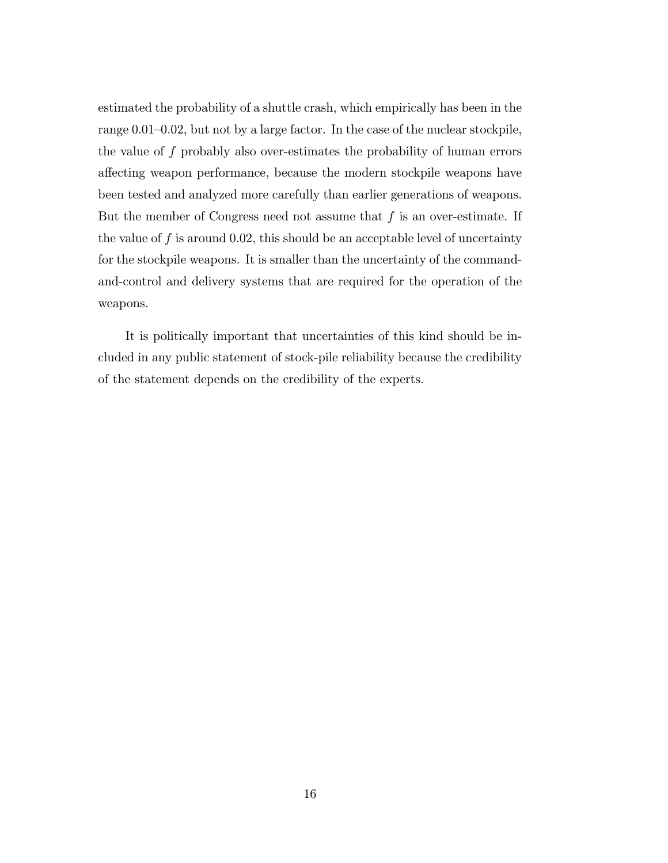estimated the probability of a shuttle crash, which empirically has been in the range 0.01—0.02, but not by a large factor. In the case of the nuclear stockpile, the value of f probably also over-estimates the probability of human errors affecting weapon performance, because the modern stockpile weapons have been tested and analyzed more carefully than earlier generations of weapons. But the member of Congress need not assume that  $f$  is an over-estimate. If the value of  $f$  is around 0.02, this should be an acceptable level of uncertainty for the stockpile weapons. It is smaller than the uncertainty of the commandand-control and delivery systems that are required for the operation of the weapons.

It is politically important that uncertainties of this kind should be included in any public statement of stock-pile reliability because the credibility of the statement depends on the credibility of the experts.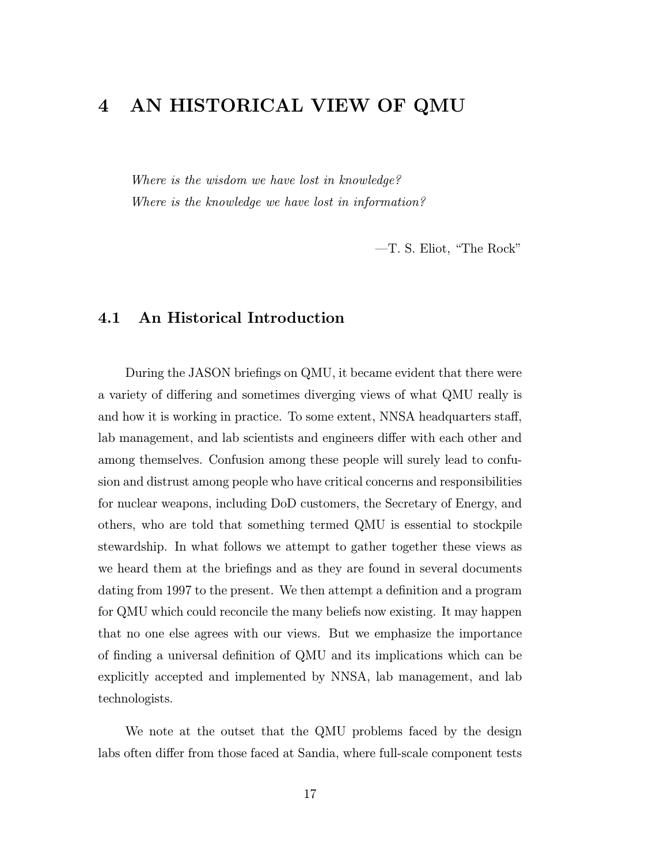# 4 AN HISTORICAL VIEW OF QMU

Where is the wisdom we have lost in knowledge? Where is the knowledge we have lost in information?

–T. S. Eliot, "The Rock"

## 4.1 An Historical Introduction

During the JASON briefings on QMU, it became evident that there were a variety of differing and sometimes diverging views of what QMU really is and how it is working in practice. To some extent, NNSA headquarters staff, lab management, and lab scientists and engineers differ with each other and among themselves. Confusion among these people will surely lead to confusion and distrust among people who have critical concerns and responsibilities for nuclear weapons, including DoD customers, the Secretary of Energy, and others, who are told that something termed QMU is essential to stockpile stewardship. In what follows we attempt to gather together these views as we heard them at the briefings and as they are found in several documents dating from 1997 to the present. We then attempt a definition and a program for QMU which could reconcile the many beliefs now existing. It may happen that no one else agrees with our views. But we emphasize the importance of finding a universal definition of QMU and its implications which can be explicitly accepted and implemented by NNSA, lab management, and lab technologists.

We note at the outset that the QMU problems faced by the design labs often differ from those faced at Sandia, where full-scale component tests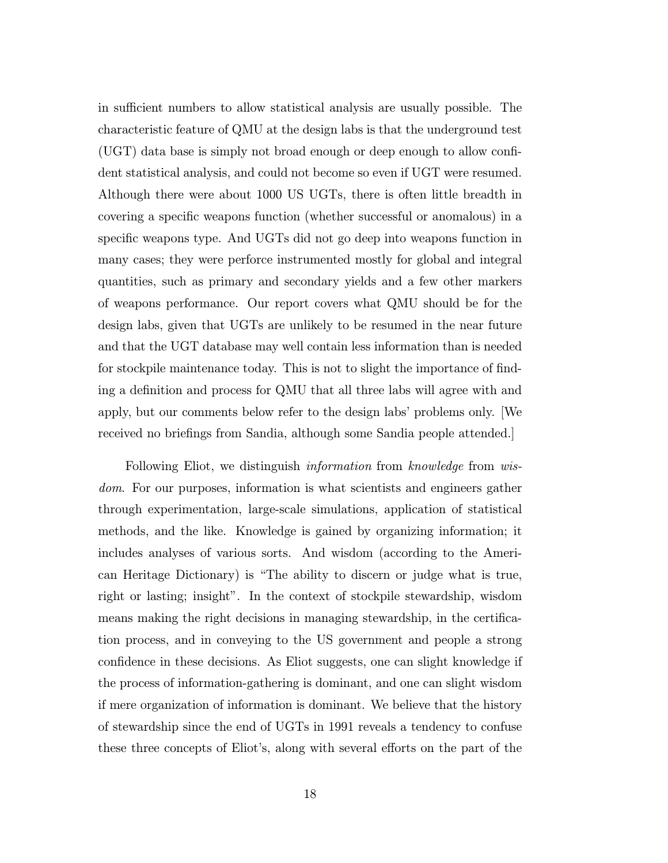in sufficient numbers to allow statistical analysis are usually possible. The characteristic feature of QMU at the design labs is that the underground test (UGT) data base is simply not broad enough or deep enough to allow confident statistical analysis, and could not become so even if UGT were resumed. Although there were about 1000 US UGTs, there is often little breadth in covering a specific weapons function (whether successful or anomalous) in a specific weapons type. And UGTs did not go deep into weapons function in many cases; they were perforce instrumented mostly for global and integral quantities, such as primary and secondary yields and a few other markers of weapons performance. Our report covers what QMU should be for the design labs, given that UGTs are unlikely to be resumed in the near future and that the UGT database may well contain less information than is needed for stockpile maintenance today. This is not to slight the importance of finding a definition and process for QMU that all three labs will agree with and apply, but our comments below refer to the design labs' problems only. [We received no briefings from Sandia, although some Sandia people attended.]

Following Eliot, we distinguish *information* from *knowledge* from *wis*dom. For our purposes, information is what scientists and engineers gather through experimentation, large-scale simulations, application of statistical methods, and the like. Knowledge is gained by organizing information; it includes analyses of various sorts. And wisdom (according to the American Heritage Dictionary) is "The ability to discern or judge what is true, right or lasting; insight". In the context of stockpile stewardship, wisdom means making the right decisions in managing stewardship, in the certification process, and in conveying to the US government and people a strong confidence in these decisions. As Eliot suggests, one can slight knowledge if the process of information-gathering is dominant, and one can slight wisdom if mere organization of information is dominant. We believe that the history of stewardship since the end of UGTs in 1991 reveals a tendency to confuse these three concepts of Eliot's, along with several efforts on the part of the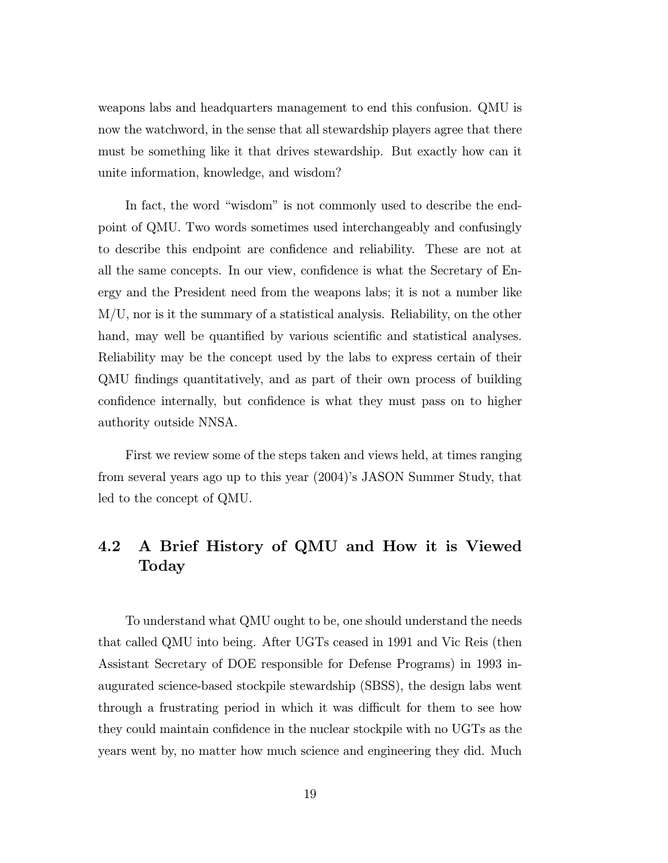weapons labs and headquarters management to end this confusion. QMU is now the watchword, in the sense that all stewardship players agree that there must be something like it that drives stewardship. But exactly how can it unite information, knowledge, and wisdom?

In fact, the word "wisdom" is not commonly used to describe the endpoint of QMU. Two words sometimes used interchangeably and confusingly to describe this endpoint are confidence and reliability. These are not at all the same concepts. In our view, confidence is what the Secretary of Energy and the President need from the weapons labs; it is not a number like M/U, nor is it the summary of a statistical analysis. Reliability, on the other hand, may well be quantified by various scientific and statistical analyses. Reliability may be the concept used by the labs to express certain of their QMU findings quantitatively, and as part of their own process of building confidence internally, but confidence is what they must pass on to higher authority outside NNSA.

First we review some of the steps taken and views held, at times ranging from several years ago up to this year (2004)'s JASON Summer Study, that led to the concept of QMU.

## 4.2 A Brief History of QMU and How it is Viewed Today

To understand what QMU ought to be, one should understand the needs that called QMU into being. After UGTs ceased in 1991 and Vic Reis (then Assistant Secretary of DOE responsible for Defense Programs) in 1993 inaugurated science-based stockpile stewardship (SBSS), the design labs went through a frustrating period in which it was difficult for them to see how they could maintain confidence in the nuclear stockpile with no UGTs as the years went by, no matter how much science and engineering they did. Much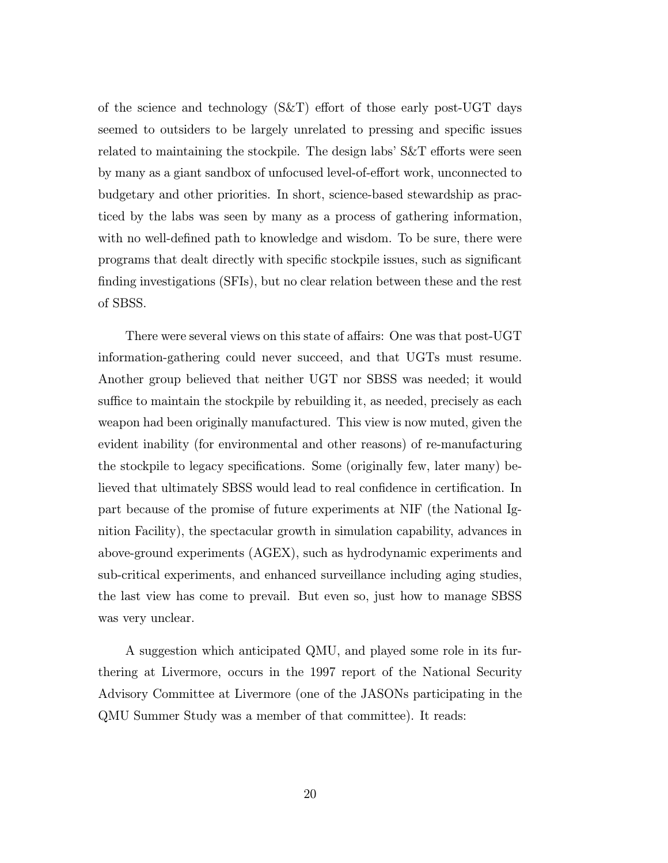of the science and technology (S&T) effort of those early post-UGT days seemed to outsiders to be largely unrelated to pressing and specific issues related to maintaining the stockpile. The design labs' S&T efforts were seen by many as a giant sandbox of unfocused level-of-effort work, unconnected to budgetary and other priorities. In short, science-based stewardship as practiced by the labs was seen by many as a process of gathering information, with no well-defined path to knowledge and wisdom. To be sure, there were programs that dealt directly with specific stockpile issues, such as significant finding investigations (SFIs), but no clear relation between these and the rest of SBSS.

There were several views on this state of affairs: One was that post-UGT information-gathering could never succeed, and that UGTs must resume. Another group believed that neither UGT nor SBSS was needed; it would suffice to maintain the stockpile by rebuilding it, as needed, precisely as each weapon had been originally manufactured. This view is now muted, given the evident inability (for environmental and other reasons) of re-manufacturing the stockpile to legacy specifications. Some (originally few, later many) believed that ultimately SBSS would lead to real confidence in certification. In part because of the promise of future experiments at NIF (the National Ignition Facility), the spectacular growth in simulation capability, advances in above-ground experiments (AGEX), such as hydrodynamic experiments and sub-critical experiments, and enhanced surveillance including aging studies, the last view has come to prevail. But even so, just how to manage SBSS was very unclear.

A suggestion which anticipated QMU, and played some role in its furthering at Livermore, occurs in the 1997 report of the National Security Advisory Committee at Livermore (one of the JASONs participating in the QMU Summer Study was a member of that committee). It reads: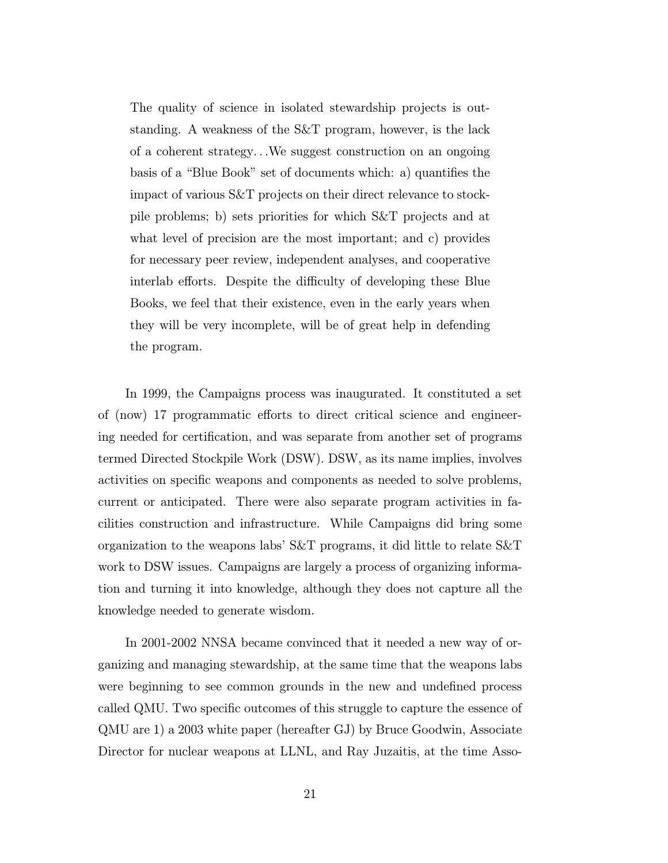The quality of science in isolated stewardship projects is outstanding. A weakness of the S&T program, however, is the lack of a coherent strategy...We suggest construction on an ongoing basis of a "Blue Book" set of documents which: a) quantifies the impact of various S&T projects on their direct relevance to stockpile problems; b) sets priorities for which S&T projects and at what level of precision are the most important; and c) provides for necessary peer review, independent analyses, and cooperative interlab efforts. Despite the difficulty of developing these Blue Books, we feel that their existence, even in the early years when they will be very incomplete, will be of great help in defending the program.

In 1999, the Campaigns process was inaugurated. It constituted a set of (now) 17 programmatic efforts to direct critical science and engineering needed for certification, and was separate from another set of programs termed Directed Stockpile Work (DSW). DSW, as its name implies, involves activities on specific weapons and components as needed to solve problems, current or anticipated. There were also separate program activities in facilities construction and infrastructure. While Campaigns did bring some organization to the weapons labs' S&T programs, it did little to relate S&T work to DSW issues. Campaigns are largely a process of organizing information and turning it into knowledge, although they does not capture all the knowledge needed to generate wisdom.

In 2001-2002 NNSA became convinced that it needed a new way of organizing and managing stewardship, at the same time that the weapons labs were beginning to see common grounds in the new and undefined process called QMU. Two specific outcomes of this struggle to capture the essence of QMU are 1) a 2003 white paper (hereafter GJ) by Bruce Goodwin, Associate Director for nuclear weapons at LLNL, and Ray Juzaitis, at the time Asso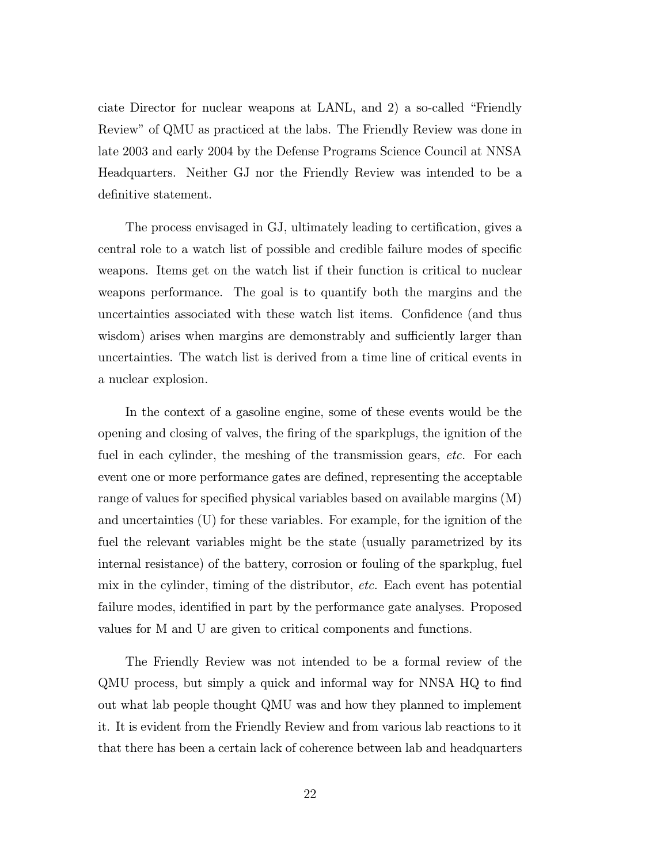ciate Director for nuclear weapons at LANL, and 2) a so-called "Friendly Review" of QMU as practiced at the labs. The Friendly Review was done in late 2003 and early 2004 by the Defense Programs Science Council at NNSA Headquarters. Neither GJ nor the Friendly Review was intended to be a definitive statement.

The process envisaged in GJ, ultimately leading to certification, gives a central role to a watch list of possible and credible failure modes of specific weapons. Items get on the watch list if their function is critical to nuclear weapons performance. The goal is to quantify both the margins and the uncertainties associated with these watch list items. Confidence (and thus wisdom) arises when margins are demonstrably and sufficiently larger than uncertainties. The watch list is derived from a time line of critical events in a nuclear explosion.

In the context of a gasoline engine, some of these events would be the opening and closing of valves, the firing of the sparkplugs, the ignition of the fuel in each cylinder, the meshing of the transmission gears, etc. For each event one or more performance gates are defined, representing the acceptable range of values for specified physical variables based on available margins (M) and uncertainties (U) for these variables. For example, for the ignition of the fuel the relevant variables might be the state (usually parametrized by its internal resistance) of the battery, corrosion or fouling of the sparkplug, fuel mix in the cylinder, timing of the distributor, *etc.* Each event has potential failure modes, identified in part by the performance gate analyses. Proposed values for M and U are given to critical components and functions.

The Friendly Review was not intended to be a formal review of the QMU process, but simply a quick and informal way for NNSA HQ to find out what lab people thought QMU was and how they planned to implement it. It is evident from the Friendly Review and from various lab reactions to it that there has been a certain lack of coherence between lab and headquarters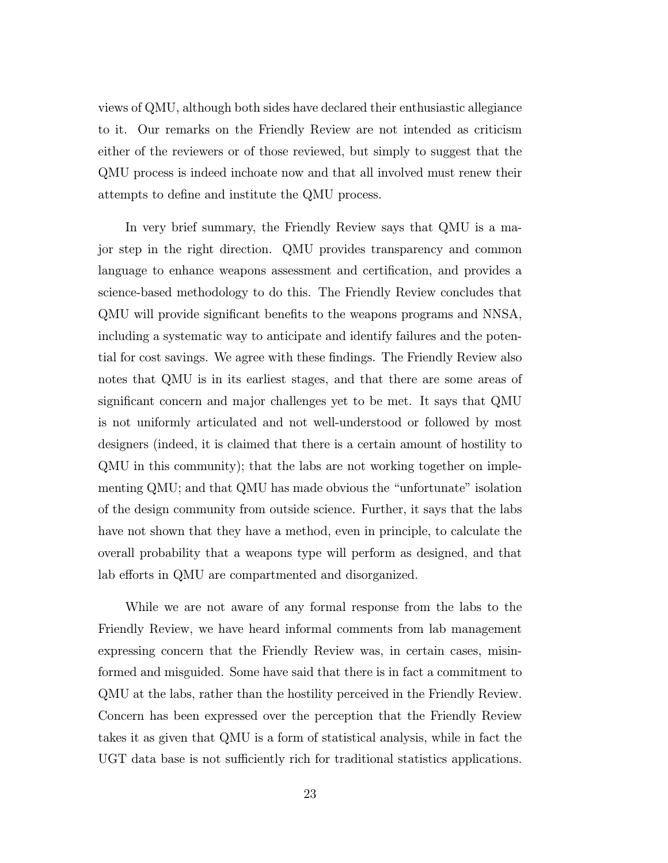views of QMU, although both sides have declared their enthusiastic allegiance to it. Our remarks on the Friendly Review are not intended as criticism either of the reviewers or of those reviewed, but simply to suggest that the QMU process is indeed inchoate now and that all involved must renew their attempts to define and institute the QMU process.

In very brief summary, the Friendly Review says that QMU is a major step in the right direction. QMU provides transparency and common language to enhance weapons assessment and certification, and provides a science-based methodology to do this. The Friendly Review concludes that QMU will provide significant benefits to the weapons programs and NNSA, including a systematic way to anticipate and identify failures and the potential for cost savings. We agree with these findings. The Friendly Review also notes that QMU is in its earliest stages, and that there are some areas of significant concern and major challenges yet to be met. It says that QMU is not uniformly articulated and not well-understood or followed by most designers (indeed, it is claimed that there is a certain amount of hostility to QMU in this community); that the labs are not working together on implementing QMU; and that QMU has made obvious the "unfortunate" isolation of the design community from outside science. Further, it says that the labs have not shown that they have a method, even in principle, to calculate the overall probability that a weapons type will perform as designed, and that lab efforts in QMU are compartmented and disorganized.

While we are not aware of any formal response from the labs to the Friendly Review, we have heard informal comments from lab management expressing concern that the Friendly Review was, in certain cases, misinformed and misguided. Some have said that there is in fact a commitment to QMU at the labs, rather than the hostility perceived in the Friendly Review. Concern has been expressed over the perception that the Friendly Review takes it as given that QMU is a form of statistical analysis, while in fact the UGT data base is not sufficiently rich for traditional statistics applications.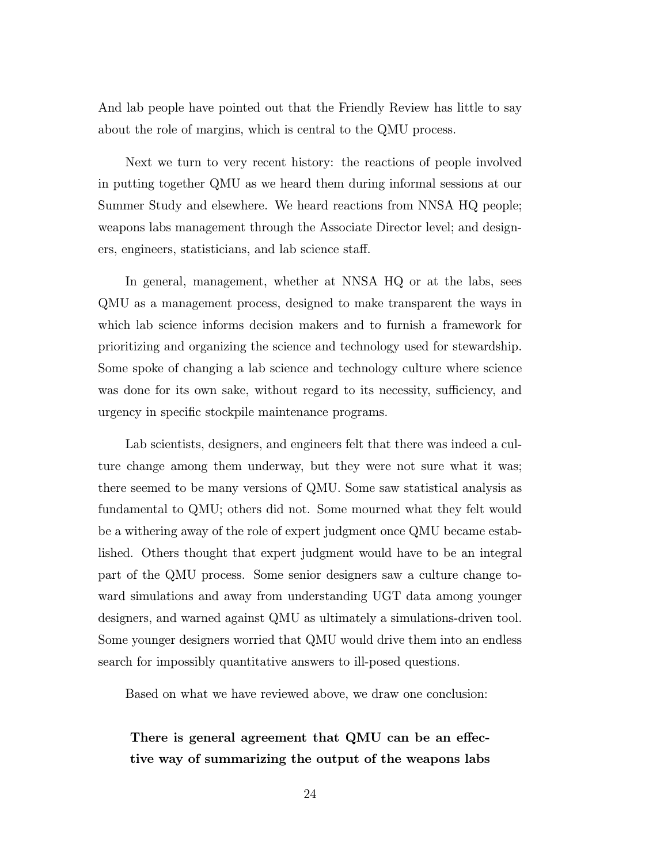And lab people have pointed out that the Friendly Review has little to say about the role of margins, which is central to the QMU process.

Next we turn to very recent history: the reactions of people involved in putting together QMU as we heard them during informal sessions at our Summer Study and elsewhere. We heard reactions from NNSA HQ people; weapons labs management through the Associate Director level; and designers, engineers, statisticians, and lab science staff.

In general, management, whether at NNSA HQ or at the labs, sees QMU as a management process, designed to make transparent the ways in which lab science informs decision makers and to furnish a framework for prioritizing and organizing the science and technology used for stewardship. Some spoke of changing a lab science and technology culture where science was done for its own sake, without regard to its necessity, sufficiency, and urgency in specific stockpile maintenance programs.

Lab scientists, designers, and engineers felt that there was indeed a culture change among them underway, but they were not sure what it was; there seemed to be many versions of QMU. Some saw statistical analysis as fundamental to QMU; others did not. Some mourned what they felt would be a withering away of the role of expert judgment once QMU became established. Others thought that expert judgment would have to be an integral part of the QMU process. Some senior designers saw a culture change toward simulations and away from understanding UGT data among younger designers, and warned against QMU as ultimately a simulations-driven tool. Some younger designers worried that QMU would drive them into an endless search for impossibly quantitative answers to ill-posed questions.

Based on what we have reviewed above, we draw one conclusion:

There is general agreement that QMU can be an effective way of summarizing the output of the weapons labs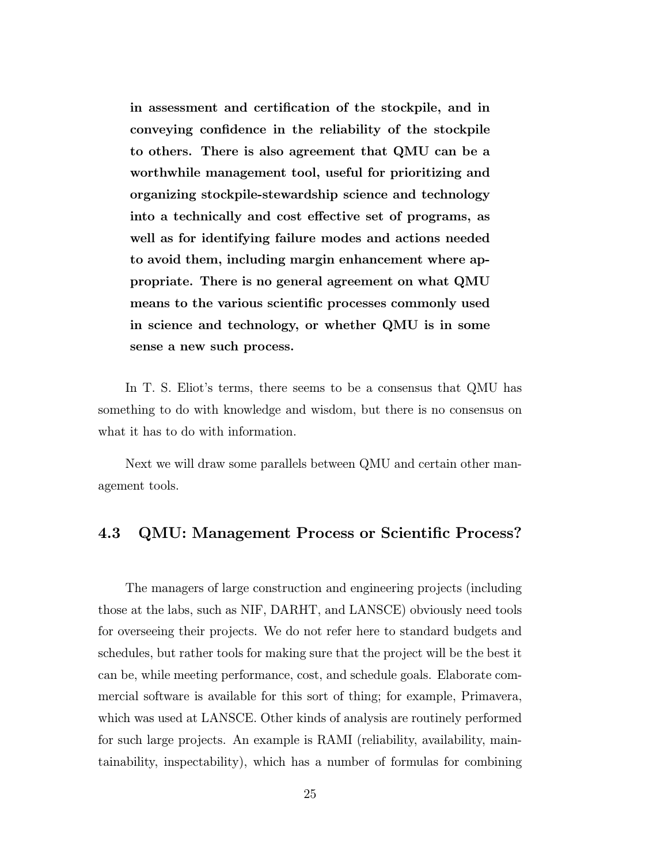in assessment and certification of the stockpile, and in conveying confidence in the reliability of the stockpile to others. There is also agreement that QMU can be a worthwhile management tool, useful for prioritizing and organizing stockpile-stewardship science and technology into a technically and cost effective set of programs, as well as for identifying failure modes and actions needed to avoid them, including margin enhancement where appropriate. There is no general agreement on what QMU means to the various scientific processes commonly used in science and technology, or whether QMU is in some sense a new such process.

In T. S. Eliot's terms, there seems to be a consensus that QMU has something to do with knowledge and wisdom, but there is no consensus on what it has to do with information.

Next we will draw some parallels between QMU and certain other management tools.

## 4.3 QMU: Management Process or Scientific Process?

The managers of large construction and engineering projects (including those at the labs, such as NIF, DARHT, and LANSCE) obviously need tools for overseeing their projects. We do not refer here to standard budgets and schedules, but rather tools for making sure that the project will be the best it can be, while meeting performance, cost, and schedule goals. Elaborate commercial software is available for this sort of thing; for example, Primavera, which was used at LANSCE. Other kinds of analysis are routinely performed for such large projects. An example is RAMI (reliability, availability, maintainability, inspectability), which has a number of formulas for combining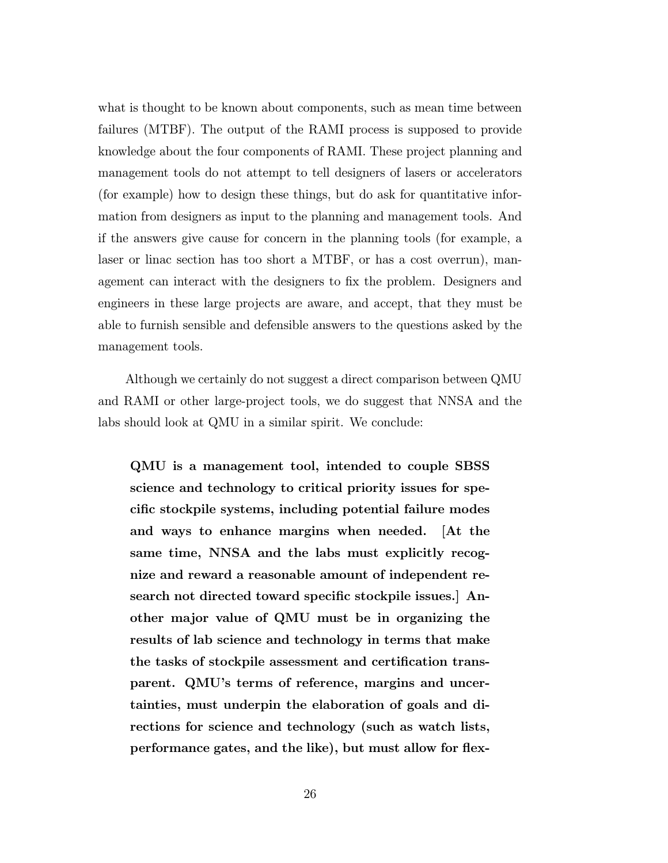what is thought to be known about components, such as mean time between failures (MTBF). The output of the RAMI process is supposed to provide knowledge about the four components of RAMI. These project planning and management tools do not attempt to tell designers of lasers or accelerators (for example) how to design these things, but do ask for quantitative information from designers as input to the planning and management tools. And if the answers give cause for concern in the planning tools (for example, a laser or linac section has too short a MTBF, or has a cost overrun), management can interact with the designers to fix the problem. Designers and engineers in these large projects are aware, and accept, that they must be able to furnish sensible and defensible answers to the questions asked by the management tools.

Although we certainly do not suggest a direct comparison between QMU and RAMI or other large-project tools, we do suggest that NNSA and the labs should look at QMU in a similar spirit. We conclude:

QMU is a management tool, intended to couple SBSS science and technology to critical priority issues for specific stockpile systems, including potential failure modes and ways to enhance margins when needed. [At the same time, NNSA and the labs must explicitly recognize and reward a reasonable amount of independent research not directed toward specific stockpile issues.] Another major value of QMU must be in organizing the results of lab science and technology in terms that make the tasks of stockpile assessment and certification transparent. QMU's terms of reference, margins and uncertainties, must underpin the elaboration of goals and directions for science and technology (such as watch lists, performance gates, and the like), but must allow for flex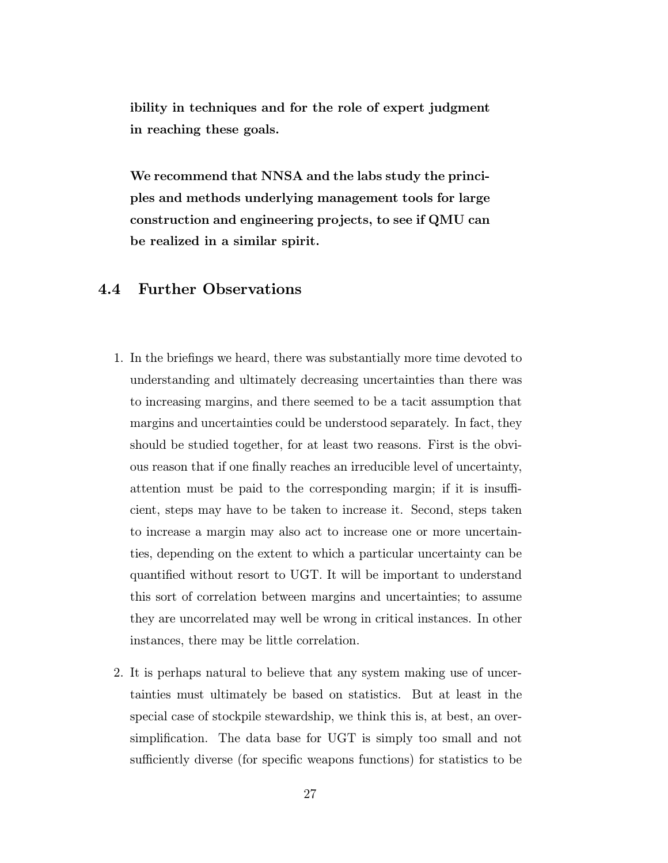ibility in techniques and for the role of expert judgment in reaching these goals.

We recommend that NNSA and the labs study the principles and methods underlying management tools for large construction and engineering projects, to see if QMU can be realized in a similar spirit.

## 4.4 Further Observations

- 1. In the briefings we heard, there was substantially more time devoted to understanding and ultimately decreasing uncertainties than there was to increasing margins, and there seemed to be a tacit assumption that margins and uncertainties could be understood separately. In fact, they should be studied together, for at least two reasons. First is the obvious reason that if one finally reaches an irreducible level of uncertainty, attention must be paid to the corresponding margin; if it is insufficient, steps may have to be taken to increase it. Second, steps taken to increase a margin may also act to increase one or more uncertainties, depending on the extent to which a particular uncertainty can be quantified without resort to UGT. It will be important to understand this sort of correlation between margins and uncertainties; to assume they are uncorrelated may well be wrong in critical instances. In other instances, there may be little correlation.
- 2. It is perhaps natural to believe that any system making use of uncertainties must ultimately be based on statistics. But at least in the special case of stockpile stewardship, we think this is, at best, an oversimplification. The data base for UGT is simply too small and not sufficiently diverse (for specific weapons functions) for statistics to be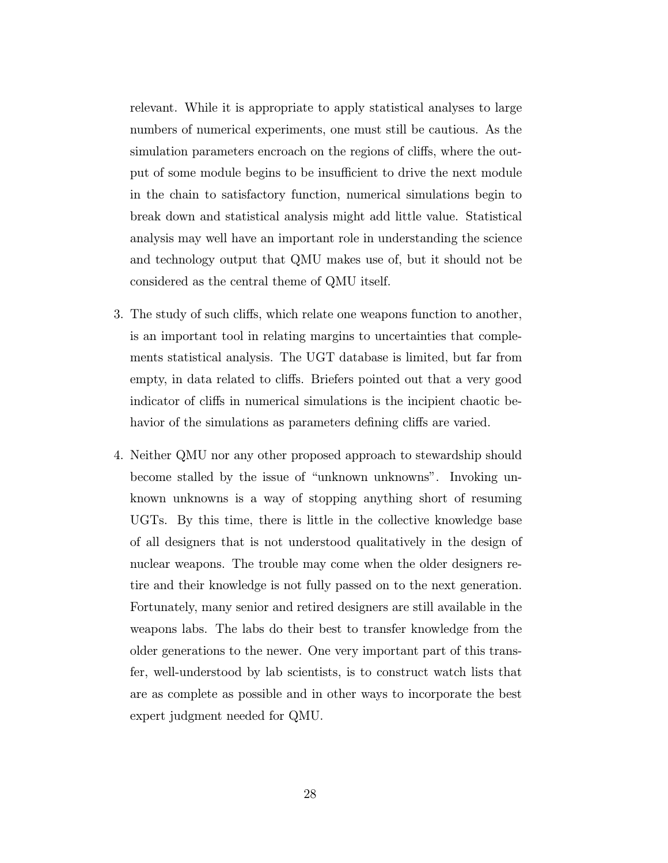relevant. While it is appropriate to apply statistical analyses to large numbers of numerical experiments, one must still be cautious. As the simulation parameters encroach on the regions of cliffs, where the output of some module begins to be insufficient to drive the next module in the chain to satisfactory function, numerical simulations begin to break down and statistical analysis might add little value. Statistical analysis may well have an important role in understanding the science and technology output that QMU makes use of, but it should not be considered as the central theme of QMU itself.

- 3. The study of such cliffs, which relate one weapons function to another, is an important tool in relating margins to uncertainties that complements statistical analysis. The UGT database is limited, but far from empty, in data related to cliffs. Briefers pointed out that a very good indicator of cliffs in numerical simulations is the incipient chaotic behavior of the simulations as parameters defining cliffs are varied.
- 4. Neither QMU nor any other proposed approach to stewardship should become stalled by the issue of "unknown unknowns". Invoking unknown unknowns is a way of stopping anything short of resuming UGTs. By this time, there is little in the collective knowledge base of all designers that is not understood qualitatively in the design of nuclear weapons. The trouble may come when the older designers retire and their knowledge is not fully passed on to the next generation. Fortunately, many senior and retired designers are still available in the weapons labs. The labs do their best to transfer knowledge from the older generations to the newer. One very important part of this transfer, well-understood by lab scientists, is to construct watch lists that are as complete as possible and in other ways to incorporate the best expert judgment needed for QMU.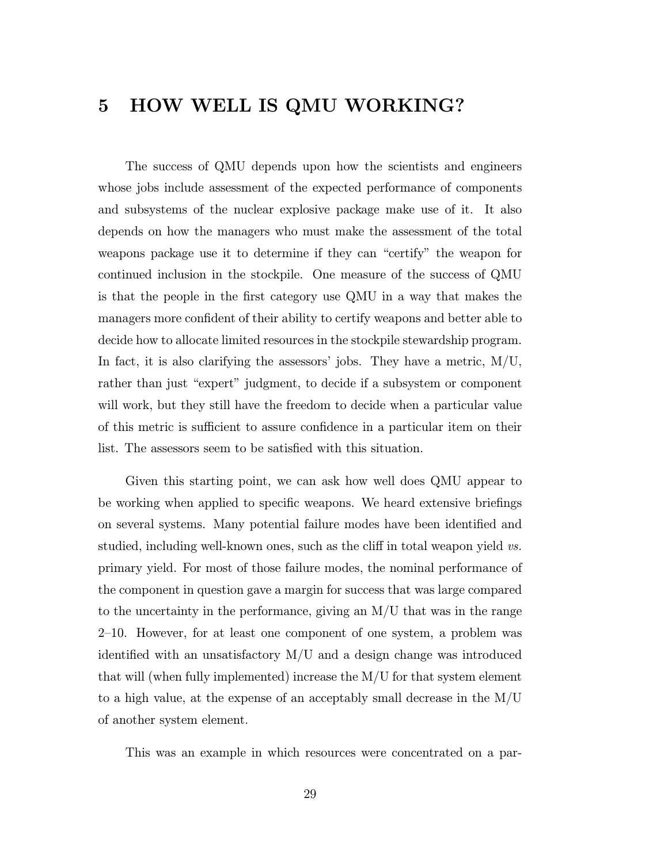# 5 HOW WELL IS QMU WORKING?

The success of QMU depends upon how the scientists and engineers whose jobs include assessment of the expected performance of components and subsystems of the nuclear explosive package make use of it. It also depends on how the managers who must make the assessment of the total weapons package use it to determine if they can "certify" the weapon for continued inclusion in the stockpile. One measure of the success of QMU is that the people in the first category use QMU in a way that makes the managers more confident of their ability to certify weapons and better able to decide how to allocate limited resources in the stockpile stewardship program. In fact, it is also clarifying the assessors' jobs. They have a metric,  $M/U$ , rather than just "expert" judgment, to decide if a subsystem or component will work, but they still have the freedom to decide when a particular value of this metric is sufficient to assure confidence in a particular item on their list. The assessors seem to be satisfied with this situation.

Given this starting point, we can ask how well does QMU appear to be working when applied to specific weapons. We heard extensive briefings on several systems. Many potential failure modes have been identified and studied, including well-known ones, such as the cliff in total weapon yield vs. primary yield. For most of those failure modes, the nominal performance of the component in question gave a margin for success that was large compared to the uncertainty in the performance, giving an M/U that was in the range 2—10. However, for at least one component of one system, a problem was identified with an unsatisfactory M/U and a design change was introduced that will (when fully implemented) increase the M/U for that system element to a high value, at the expense of an acceptably small decrease in the M/U of another system element.

This was an example in which resources were concentrated on a par-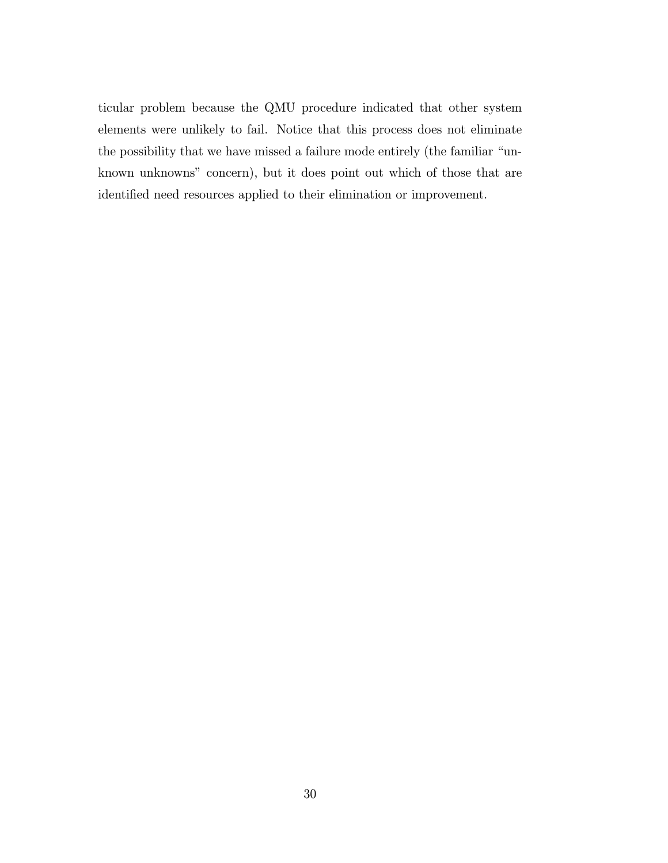ticular problem because the QMU procedure indicated that other system elements were unlikely to fail. Notice that this process does not eliminate the possibility that we have missed a failure mode entirely (the familiar "unknown unknowns" concern), but it does point out which of those that are identified need resources applied to their elimination or improvement.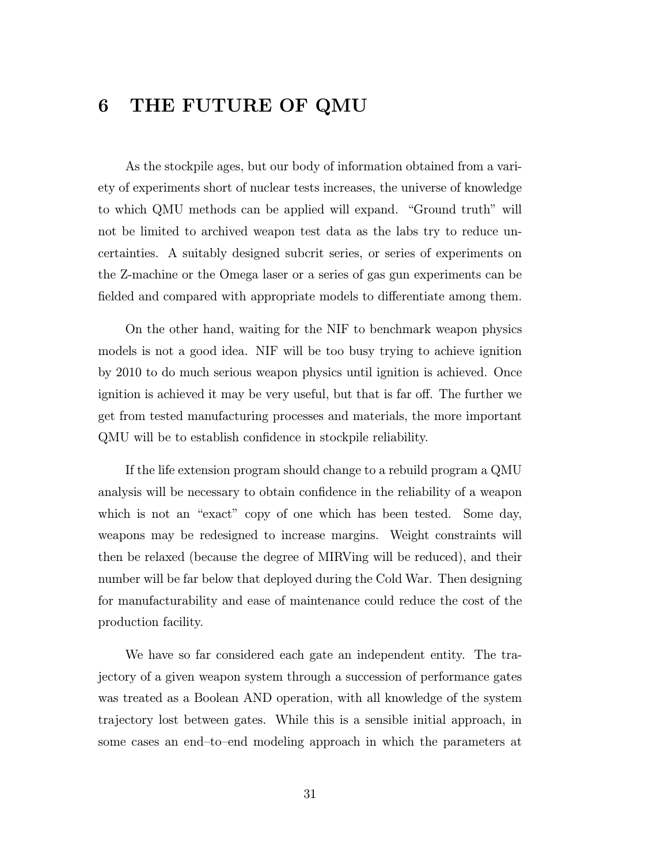# 6 THE FUTURE OF QMU

As the stockpile ages, but our body of information obtained from a variety of experiments short of nuclear tests increases, the universe of knowledge to which QMU methods can be applied will expand. "Ground truth" will not be limited to archived weapon test data as the labs try to reduce uncertainties. A suitably designed subcrit series, or series of experiments on the Z-machine or the Omega laser or a series of gas gun experiments can be fielded and compared with appropriate models to differentiate among them.

On the other hand, waiting for the NIF to benchmark weapon physics models is not a good idea. NIF will be too busy trying to achieve ignition by 2010 to do much serious weapon physics until ignition is achieved. Once ignition is achieved it may be very useful, but that is far off. The further we get from tested manufacturing processes and materials, the more important QMU will be to establish confidence in stockpile reliability.

If the life extension program should change to a rebuild program a QMU analysis will be necessary to obtain confidence in the reliability of a weapon which is not an "exact" copy of one which has been tested. Some day, weapons may be redesigned to increase margins. Weight constraints will then be relaxed (because the degree of MIRVing will be reduced), and their number will be far below that deployed during the Cold War. Then designing for manufacturability and ease of maintenance could reduce the cost of the production facility.

We have so far considered each gate an independent entity. The trajectory of a given weapon system through a succession of performance gates was treated as a Boolean AND operation, with all knowledge of the system trajectory lost between gates. While this is a sensible initial approach, in some cases an end—to—end modeling approach in which the parameters at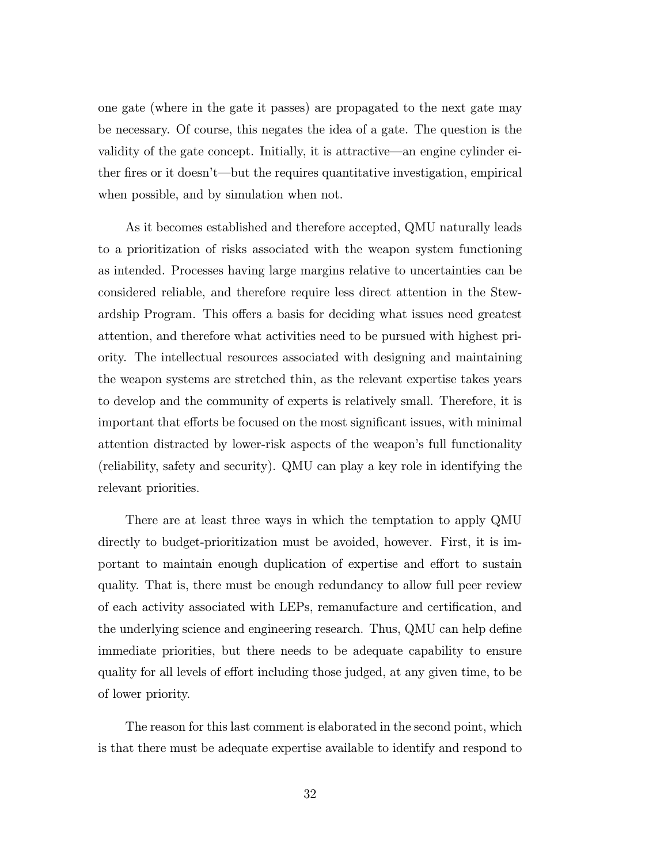one gate (where in the gate it passes) are propagated to the next gate may be necessary. Of course, this negates the idea of a gate. The question is the validity of the gate concept. Initially, it is attractive–an engine cylinder either fires or it doesn't–but the requires quantitative investigation, empirical when possible, and by simulation when not.

As it becomes established and therefore accepted, QMU naturally leads to a prioritization of risks associated with the weapon system functioning as intended. Processes having large margins relative to uncertainties can be considered reliable, and therefore require less direct attention in the Stewardship Program. This offers a basis for deciding what issues need greatest attention, and therefore what activities need to be pursued with highest priority. The intellectual resources associated with designing and maintaining the weapon systems are stretched thin, as the relevant expertise takes years to develop and the community of experts is relatively small. Therefore, it is important that efforts be focused on the most significant issues, with minimal attention distracted by lower-risk aspects of the weapon's full functionality (reliability, safety and security). QMU can play a key role in identifying the relevant priorities.

There are at least three ways in which the temptation to apply QMU directly to budget-prioritization must be avoided, however. First, it is important to maintain enough duplication of expertise and effort to sustain quality. That is, there must be enough redundancy to allow full peer review of each activity associated with LEPs, remanufacture and certification, and the underlying science and engineering research. Thus, QMU can help define immediate priorities, but there needs to be adequate capability to ensure quality for all levels of effort including those judged, at any given time, to be of lower priority.

The reason for this last comment is elaborated in the second point, which is that there must be adequate expertise available to identify and respond to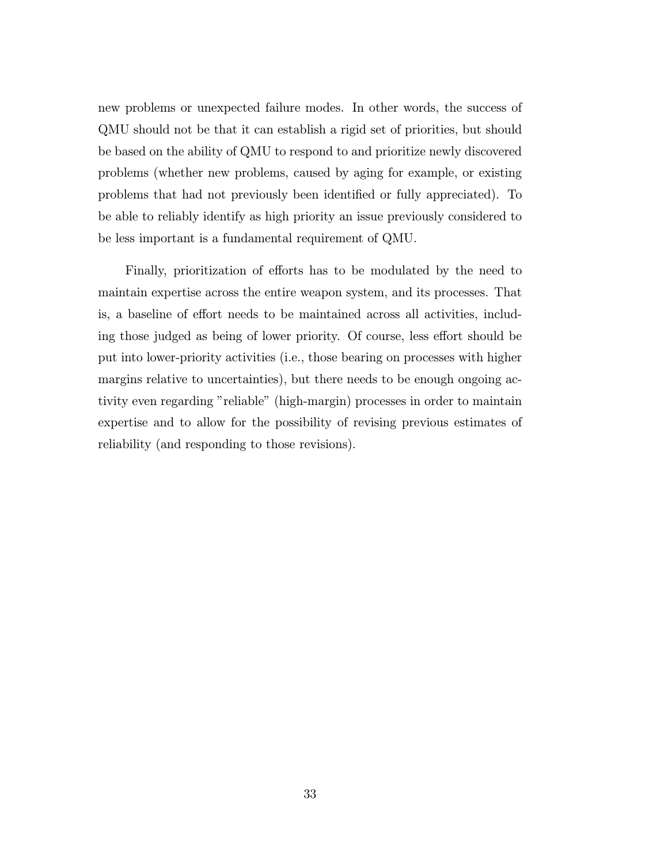new problems or unexpected failure modes. In other words, the success of QMU should not be that it can establish a rigid set of priorities, but should be based on the ability of QMU to respond to and prioritize newly discovered problems (whether new problems, caused by aging for example, or existing problems that had not previously been identified or fully appreciated). To be able to reliably identify as high priority an issue previously considered to be less important is a fundamental requirement of QMU.

Finally, prioritization of efforts has to be modulated by the need to maintain expertise across the entire weapon system, and its processes. That is, a baseline of effort needs to be maintained across all activities, including those judged as being of lower priority. Of course, less effort should be put into lower-priority activities (i.e., those bearing on processes with higher margins relative to uncertainties), but there needs to be enough ongoing activity even regarding "reliable" (high-margin) processes in order to maintain expertise and to allow for the possibility of revising previous estimates of reliability (and responding to those revisions).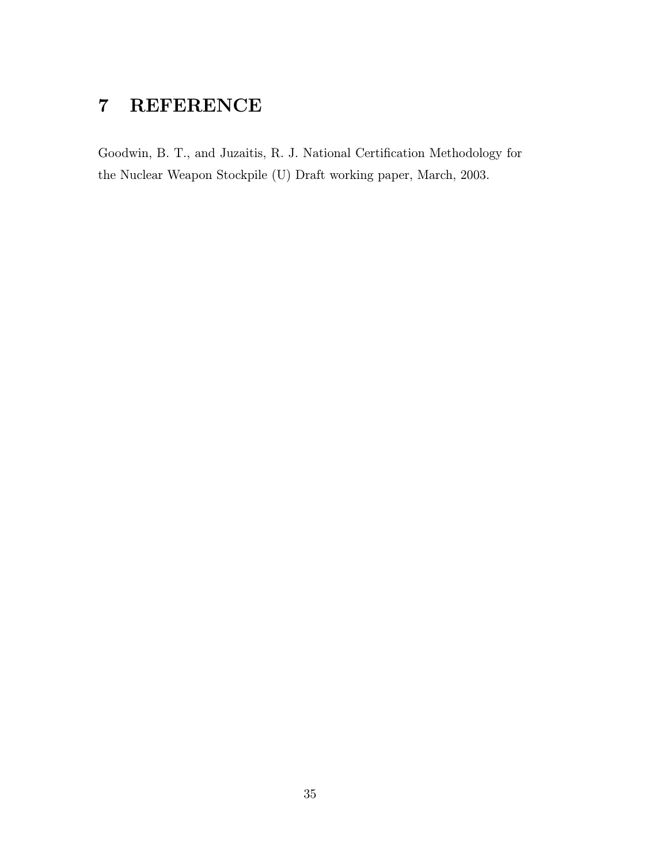# 7 REFERENCE

Goodwin, B. T., and Juzaitis, R. J. National Certification Methodology for the Nuclear Weapon Stockpile (U) Draft working paper, March, 2003.